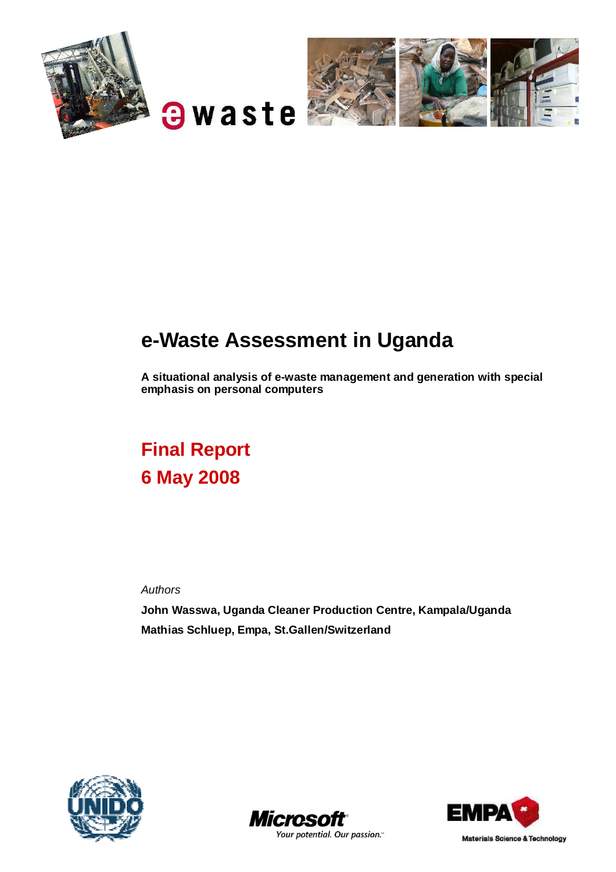

# **a**waste



# **e-Waste Assessment in Uganda**

**A situational analysis of e-waste management and generation with special emphasis on personal computers** 

# **Final Report 6 May 2008**

Authors

**John Wasswa, Uganda Cleaner Production Centre, Kampala/Uganda Mathias Schluep, Empa, St.Gallen/Switzerland**







Materials Science & Technology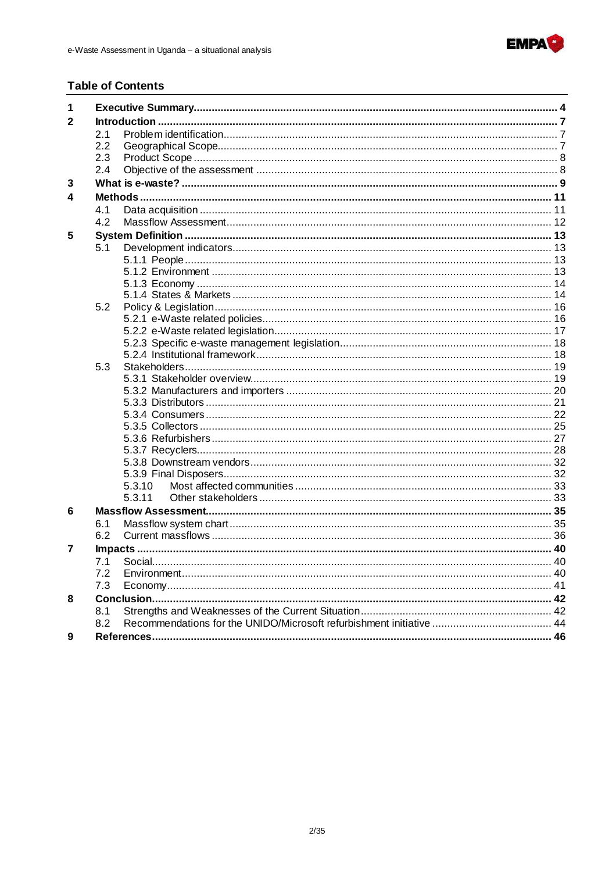

#### **Table of Contents**

| 1 |     |        |  |  |  |
|---|-----|--------|--|--|--|
| 2 |     |        |  |  |  |
|   | 2.1 |        |  |  |  |
|   | 2.2 |        |  |  |  |
|   | 2.3 |        |  |  |  |
|   | 2.4 |        |  |  |  |
| 3 |     |        |  |  |  |
| 4 |     |        |  |  |  |
|   | 4.1 |        |  |  |  |
|   | 4.2 |        |  |  |  |
| 5 |     |        |  |  |  |
|   | 5.1 |        |  |  |  |
|   |     |        |  |  |  |
|   |     |        |  |  |  |
|   |     |        |  |  |  |
|   |     |        |  |  |  |
|   | 5.2 |        |  |  |  |
|   |     |        |  |  |  |
|   |     |        |  |  |  |
|   |     |        |  |  |  |
|   |     |        |  |  |  |
|   | 5.3 |        |  |  |  |
|   |     |        |  |  |  |
|   |     |        |  |  |  |
|   |     |        |  |  |  |
|   |     |        |  |  |  |
|   |     |        |  |  |  |
|   |     |        |  |  |  |
|   |     |        |  |  |  |
|   |     |        |  |  |  |
|   |     |        |  |  |  |
|   |     | 5.3.10 |  |  |  |
|   |     | 5.3.11 |  |  |  |
| 6 |     |        |  |  |  |
|   | 6.1 |        |  |  |  |
|   | 6.2 |        |  |  |  |
| 7 |     |        |  |  |  |
|   | 7.1 |        |  |  |  |
|   | 7.2 |        |  |  |  |
|   | 7.3 |        |  |  |  |
| 8 |     |        |  |  |  |
|   | 8.1 |        |  |  |  |
|   | 8.2 |        |  |  |  |
| 9 |     |        |  |  |  |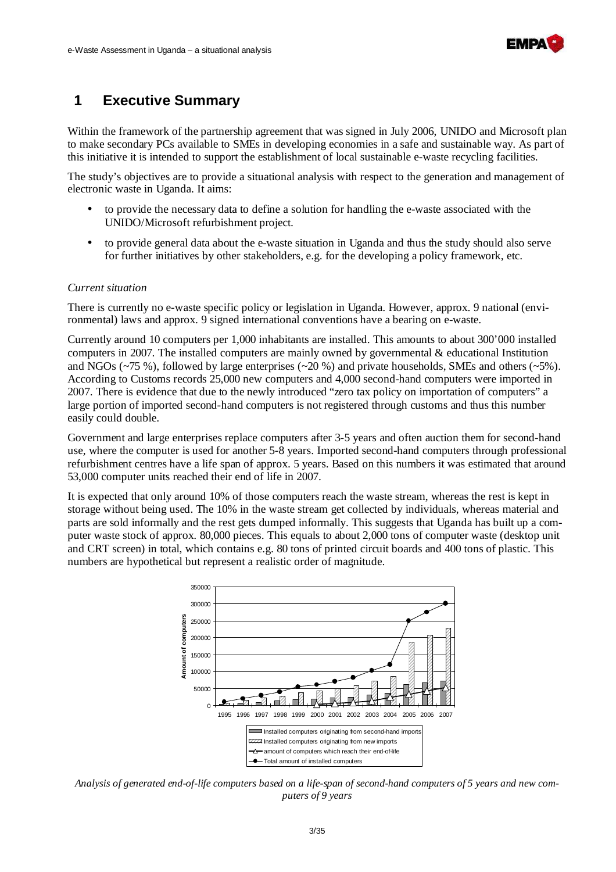

# **1 Executive Summary**

Within the framework of the partnership agreement that was signed in July 2006, UNIDO and Microsoft plan to make secondary PCs available to SMEs in developing economies in a safe and sustainable way. As part of this initiative it is intended to support the establishment of local sustainable e-waste recycling facilities.

The study's objectives are to provide a situational analysis with respect to the generation and management of electronic waste in Uganda. It aims:

- to provide the necessary data to define a solution for handling the e-waste associated with the UNIDO/Microsoft refurbishment project.
- to provide general data about the e-waste situation in Uganda and thus the study should also serve for further initiatives by other stakeholders, e.g. for the developing a policy framework, etc.

#### *Current situation*

There is currently no e-waste specific policy or legislation in Uganda. However, approx. 9 national (environmental) laws and approx. 9 signed international conventions have a bearing on e-waste.

Currently around 10 computers per 1,000 inhabitants are installed. This amounts to about 300'000 installed computers in 2007. The installed computers are mainly owned by governmental & educational Institution and NGOs ( $\sim$ 75 %), followed by large enterprises ( $\sim$ 20 %) and private households, SMEs and others ( $\sim$ 5%). According to Customs records 25,000 new computers and 4,000 second-hand computers were imported in 2007. There is evidence that due to the newly introduced "zero tax policy on importation of computers" a large portion of imported second-hand computers is not registered through customs and thus this number easily could double.

Government and large enterprises replace computers after 3-5 years and often auction them for second-hand use, where the computer is used for another 5-8 years. Imported second-hand computers through professional refurbishment centres have a life span of approx. 5 years. Based on this numbers it was estimated that around 53,000 computer units reached their end of life in 2007.

It is expected that only around 10% of those computers reach the waste stream, whereas the rest is kept in storage without being used. The 10% in the waste stream get collected by individuals, whereas material and parts are sold informally and the rest gets dumped informally. This suggests that Uganda has built up a computer waste stock of approx. 80,000 pieces. This equals to about 2,000 tons of computer waste (desktop unit and CRT screen) in total, which contains e.g. 80 tons of printed circuit boards and 400 tons of plastic. This numbers are hypothetical but represent a realistic order of magnitude.



*Analysis of generated end-of-life computers based on a life-span of second-hand computers of 5 years and new computers of 9 years*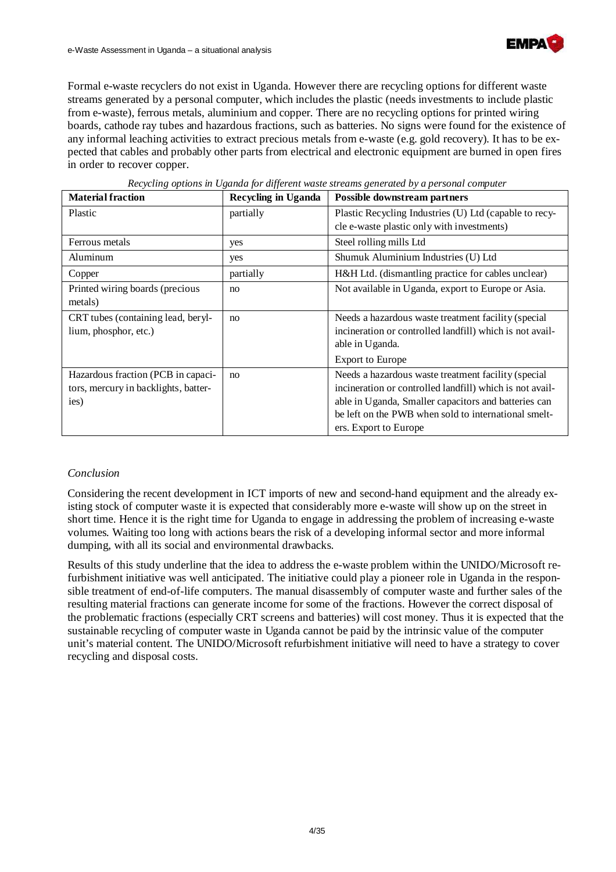

Formal e-waste recyclers do not exist in Uganda. However there are recycling options for different waste streams generated by a personal computer, which includes the plastic (needs investments to include plastic from e-waste), ferrous metals, aluminium and copper. There are no recycling options for printed wiring boards, cathode ray tubes and hazardous fractions, such as batteries. No signs were found for the existence of any informal leaching activities to extract precious metals from e-waste (e.g. gold recovery). It has to be expected that cables and probably other parts from electrical and electronic equipment are burned in open fires in order to recover copper.

| <b>Material fraction</b>             | <b>Recycling in Uganda</b> | Possible downstream partners                             |
|--------------------------------------|----------------------------|----------------------------------------------------------|
| Plastic                              | partially                  | Plastic Recycling Industries (U) Ltd (capable to recy-   |
|                                      |                            | cle e-waste plastic only with investments)               |
| Ferrous metals                       | yes                        | Steel rolling mills Ltd                                  |
| Aluminum                             | yes                        | Shumuk Aluminium Industries (U) Ltd                      |
| Copper                               | partially                  | H&H Ltd. (dismantling practice for cables unclear)       |
| Printed wiring boards (precious      | no                         | Not available in Uganda, export to Europe or Asia.       |
| metals)                              |                            |                                                          |
| CRT tubes (containing lead, beryl-   | no                         | Needs a hazardous waste treatment facility (special      |
| lium, phosphor, etc.)                |                            | incineration or controlled landfill) which is not avail- |
|                                      |                            | able in Uganda.                                          |
|                                      |                            | <b>Export to Europe</b>                                  |
| Hazardous fraction (PCB in capaci-   | no                         | Needs a hazardous waste treatment facility (special      |
| tors, mercury in backlights, batter- |                            | incineration or controlled landfill) which is not avail- |
| ies)                                 |                            | able in Uganda, Smaller capacitors and batteries can     |
|                                      |                            | be left on the PWB when sold to international smelt-     |
|                                      |                            | ers. Export to Europe                                    |

*Recycling options in Uganda for different waste streams generated by a personal computer* 

#### *Conclusion*

Considering the recent development in ICT imports of new and second-hand equipment and the already existing stock of computer waste it is expected that considerably more e-waste will show up on the street in short time. Hence it is the right time for Uganda to engage in addressing the problem of increasing e-waste volumes. Waiting too long with actions bears the risk of a developing informal sector and more informal dumping, with all its social and environmental drawbacks.

Results of this study underline that the idea to address the e-waste problem within the UNIDO/Microsoft refurbishment initiative was well anticipated. The initiative could play a pioneer role in Uganda in the responsible treatment of end-of-life computers. The manual disassembly of computer waste and further sales of the resulting material fractions can generate income for some of the fractions. However the correct disposal of the problematic fractions (especially CRT screens and batteries) will cost money. Thus it is expected that the sustainable recycling of computer waste in Uganda cannot be paid by the intrinsic value of the computer unit's material content. The UNIDO/Microsoft refurbishment initiative will need to have a strategy to cover recycling and disposal costs.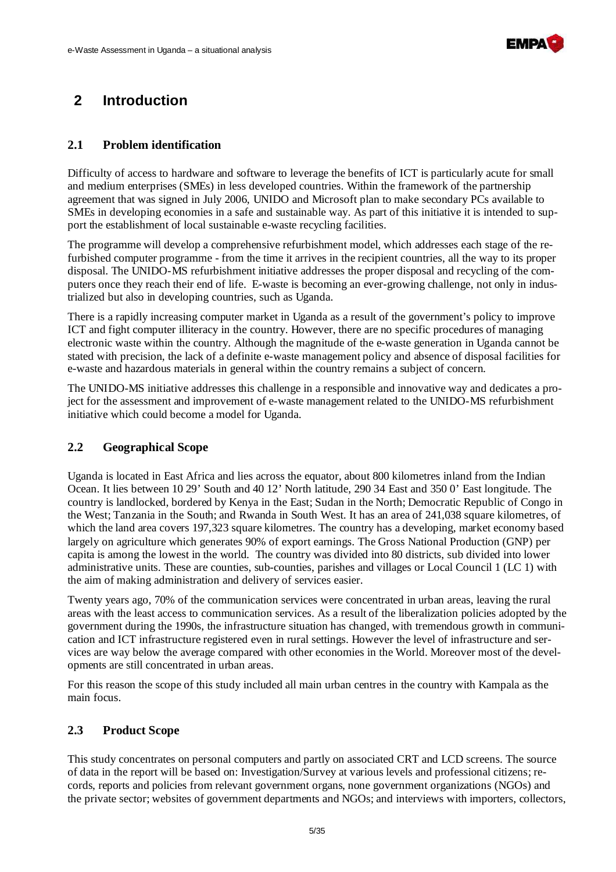

# **2 Introduction**

### **2.1 Problem identification**

Difficulty of access to hardware and software to leverage the benefits of ICT is particularly acute for small and medium enterprises (SMEs) in less developed countries. Within the framework of the partnership agreement that was signed in July 2006, UNIDO and Microsoft plan to make secondary PCs available to SMEs in developing economies in a safe and sustainable way. As part of this initiative it is intended to support the establishment of local sustainable e-waste recycling facilities.

The programme will develop a comprehensive refurbishment model, which addresses each stage of the refurbished computer programme - from the time it arrives in the recipient countries, all the way to its proper disposal. The UNIDO-MS refurbishment initiative addresses the proper disposal and recycling of the computers once they reach their end of life. E-waste is becoming an ever-growing challenge, not only in industrialized but also in developing countries, such as Uganda.

There is a rapidly increasing computer market in Uganda as a result of the government's policy to improve ICT and fight computer illiteracy in the country. However, there are no specific procedures of managing electronic waste within the country. Although the magnitude of the e-waste generation in Uganda cannot be stated with precision, the lack of a definite e-waste management policy and absence of disposal facilities for e-waste and hazardous materials in general within the country remains a subject of concern.

The UNIDO-MS initiative addresses this challenge in a responsible and innovative way and dedicates a project for the assessment and improvement of e-waste management related to the UNIDO-MS refurbishment initiative which could become a model for Uganda.

#### **2.2 Geographical Scope**

Uganda is located in East Africa and lies across the equator, about 800 kilometres inland from the Indian Ocean. It lies between 10 29' South and 40 12' North latitude, 290 34 East and 350 0' East longitude. The country is landlocked, bordered by Kenya in the East; Sudan in the North; Democratic Republic of Congo in the West; Tanzania in the South; and Rwanda in South West. It has an area of 241,038 square kilometres, of which the land area covers 197,323 square kilometres. The country has a developing, market economy based largely on agriculture which generates 90% of export earnings. The Gross National Production (GNP) per capita is among the lowest in the world. The country was divided into 80 districts, sub divided into lower administrative units. These are counties, sub-counties, parishes and villages or Local Council 1 (LC 1) with the aim of making administration and delivery of services easier.

Twenty years ago, 70% of the communication services were concentrated in urban areas, leaving the rural areas with the least access to communication services. As a result of the liberalization policies adopted by the government during the 1990s, the infrastructure situation has changed, with tremendous growth in communication and ICT infrastructure registered even in rural settings. However the level of infrastructure and services are way below the average compared with other economies in the World. Moreover most of the developments are still concentrated in urban areas.

For this reason the scope of this study included all main urban centres in the country with Kampala as the main focus.

### **2.3 Product Scope**

This study concentrates on personal computers and partly on associated CRT and LCD screens. The source of data in the report will be based on: Investigation/Survey at various levels and professional citizens; records, reports and policies from relevant government organs, none government organizations (NGOs) and the private sector; websites of government departments and NGOs; and interviews with importers, collectors,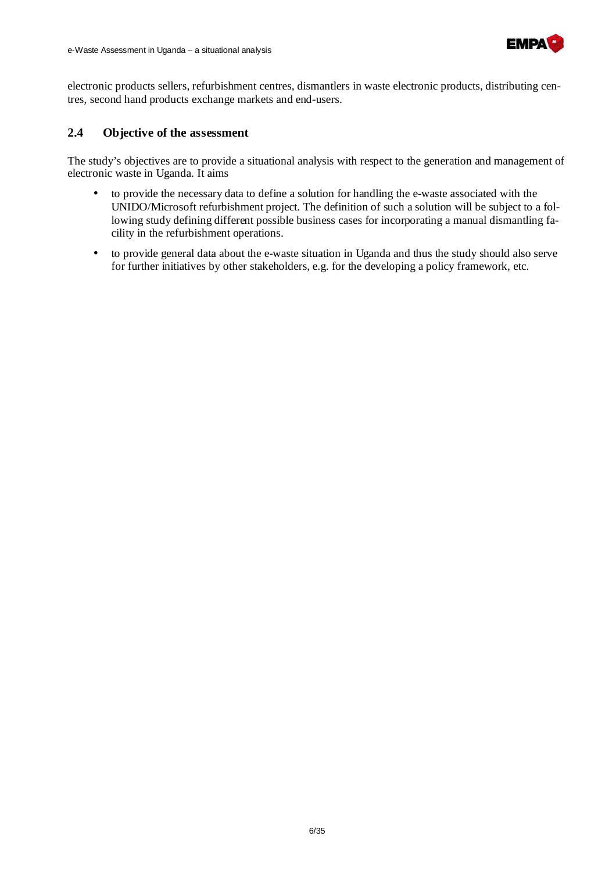

electronic products sellers, refurbishment centres, dismantlers in waste electronic products, distributing centres, second hand products exchange markets and end-users.

#### **2.4 Objective of the assessment**

The study's objectives are to provide a situational analysis with respect to the generation and management of electronic waste in Uganda. It aims

- to provide the necessary data to define a solution for handling the e-waste associated with the UNIDO/Microsoft refurbishment project. The definition of such a solution will be subject to a following study defining different possible business cases for incorporating a manual dismantling facility in the refurbishment operations.
- to provide general data about the e-waste situation in Uganda and thus the study should also serve for further initiatives by other stakeholders, e.g. for the developing a policy framework, etc.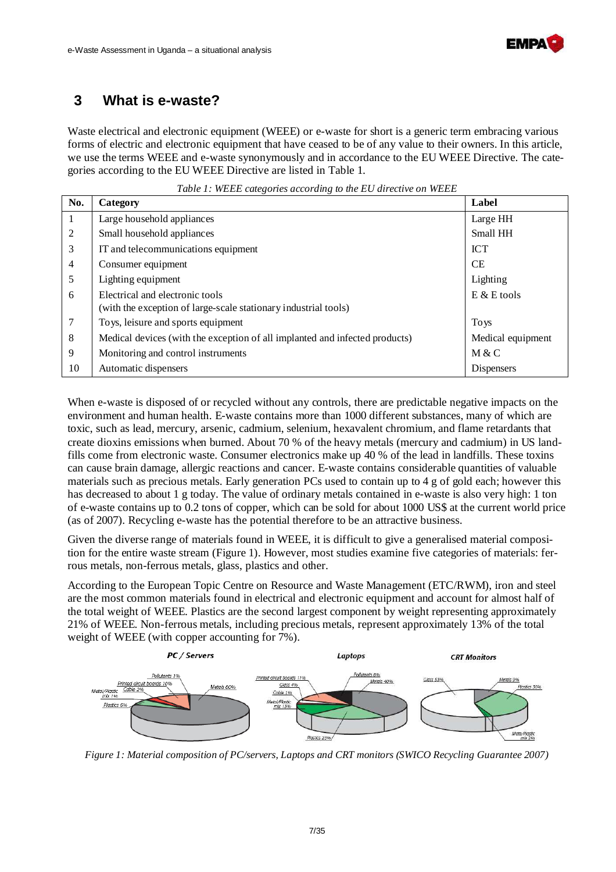

### **3 What is e-waste?**

Waste electrical and electronic equipment (WEEE) or e-waste for short is a generic term embracing various forms of electric and electronic equipment that have ceased to be of any value to their owners. In this article, we use the terms WEEE and e-waste synonymously and in accordance to the EU WEEE Directive. The categories according to the EU WEEE Directive are listed in Table 1.

*Table 1: WEEE categories according to the EU directive on WEEE* 

| No.            | Category                                                                    | Label             |
|----------------|-----------------------------------------------------------------------------|-------------------|
| 1              | Large household appliances                                                  | Large HH          |
| 2              | Small household appliances                                                  | Small HH          |
| 3              | IT and telecommunications equipment                                         | <b>ICT</b>        |
| $\overline{4}$ | Consumer equipment                                                          | <b>CE</b>         |
| 5              | Lighting equipment                                                          | Lighting          |
| 6              | Electrical and electronic tools                                             | $E & E$ tools     |
|                | (with the exception of large-scale stationary industrial tools)             |                   |
| $\tau$         | Toys, leisure and sports equipment                                          | <b>Toys</b>       |
| 8              | Medical devices (with the exception of all implanted and infected products) | Medical equipment |
| 9              | Monitoring and control instruments                                          | M & C             |
| 10             | Automatic dispensers                                                        | <b>Dispensers</b> |

When e-waste is disposed of or recycled without any controls, there are predictable negative impacts on the environment and human health. E-waste contains more than 1000 different substances, many of which are toxic, such as lead, mercury, arsenic, cadmium, selenium, hexavalent chromium, and flame retardants that create dioxins emissions when burned. About 70 % of the heavy metals (mercury and cadmium) in US landfills come from electronic waste. Consumer electronics make up 40 % of the lead in landfills. These toxins can cause brain damage, allergic reactions and cancer. E-waste contains considerable quantities of valuable materials such as precious metals. Early generation PCs used to contain up to 4 g of gold each; however this has decreased to about 1 g today. The value of ordinary metals contained in e-waste is also very high: 1 ton of e-waste contains up to 0.2 tons of copper, which can be sold for about 1000 US\$ at the current world price (as of 2007). Recycling e-waste has the potential therefore to be an attractive business.

Given the diverse range of materials found in WEEE, it is difficult to give a generalised material composition for the entire waste stream (Figure 1). However, most studies examine five categories of materials: ferrous metals, non-ferrous metals, glass, plastics and other.

According to the European Topic Centre on Resource and Waste Management (ETC/RWM), iron and steel are the most common materials found in electrical and electronic equipment and account for almost half of the total weight of WEEE. Plastics are the second largest component by weight representing approximately 21% of WEEE. Non-ferrous metals, including precious metals, represent approximately 13% of the total weight of WEEE (with copper accounting for 7%).



*Figure 1: Material composition of PC/servers, Laptops and CRT monitors (SWICO Recycling Guarantee 2007)*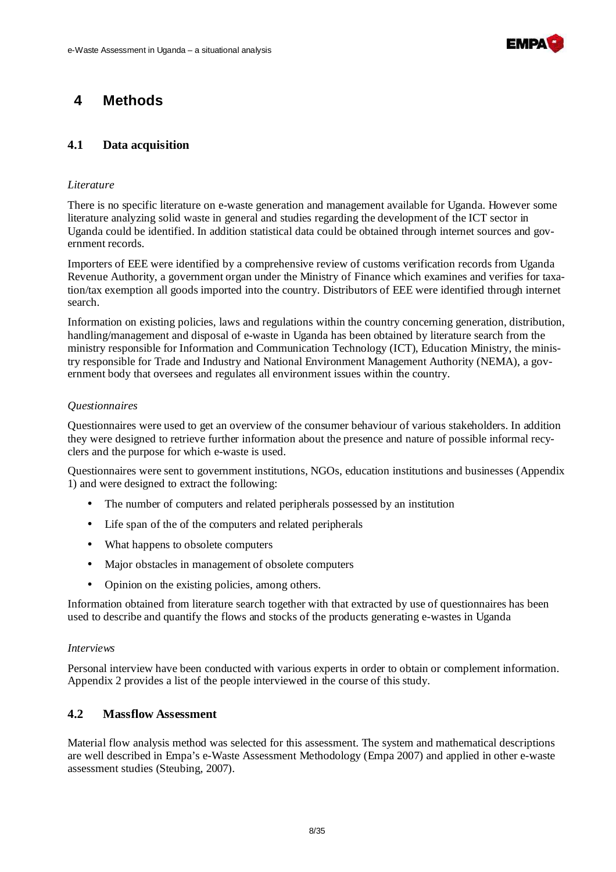

## **4 Methods**

#### **4.1 Data acquisition**

#### *Literature*

There is no specific literature on e-waste generation and management available for Uganda. However some literature analyzing solid waste in general and studies regarding the development of the ICT sector in Uganda could be identified. In addition statistical data could be obtained through internet sources and government records.

Importers of EEE were identified by a comprehensive review of customs verification records from Uganda Revenue Authority, a government organ under the Ministry of Finance which examines and verifies for taxation/tax exemption all goods imported into the country. Distributors of EEE were identified through internet search.

Information on existing policies, laws and regulations within the country concerning generation, distribution, handling/management and disposal of e-waste in Uganda has been obtained by literature search from the ministry responsible for Information and Communication Technology (ICT), Education Ministry, the ministry responsible for Trade and Industry and National Environment Management Authority (NEMA), a government body that oversees and regulates all environment issues within the country.

#### *Questionnaires*

Questionnaires were used to get an overview of the consumer behaviour of various stakeholders. In addition they were designed to retrieve further information about the presence and nature of possible informal recyclers and the purpose for which e-waste is used.

Questionnaires were sent to government institutions, NGOs, education institutions and businesses (Appendix 1) and were designed to extract the following:

- The number of computers and related peripherals possessed by an institution
- Life span of the of the computers and related peripherals
- What happens to obsolete computers
- Major obstacles in management of obsolete computers
- Opinion on the existing policies, among others.

Information obtained from literature search together with that extracted by use of questionnaires has been used to describe and quantify the flows and stocks of the products generating e-wastes in Uganda

#### *Interviews*

Personal interview have been conducted with various experts in order to obtain or complement information. Appendix 2 provides a list of the people interviewed in the course of this study.

#### **4.2 Massflow Assessment**

Material flow analysis method was selected for this assessment. The system and mathematical descriptions are well described in Empa's e-Waste Assessment Methodology (Empa 2007) and applied in other e-waste assessment studies (Steubing, 2007).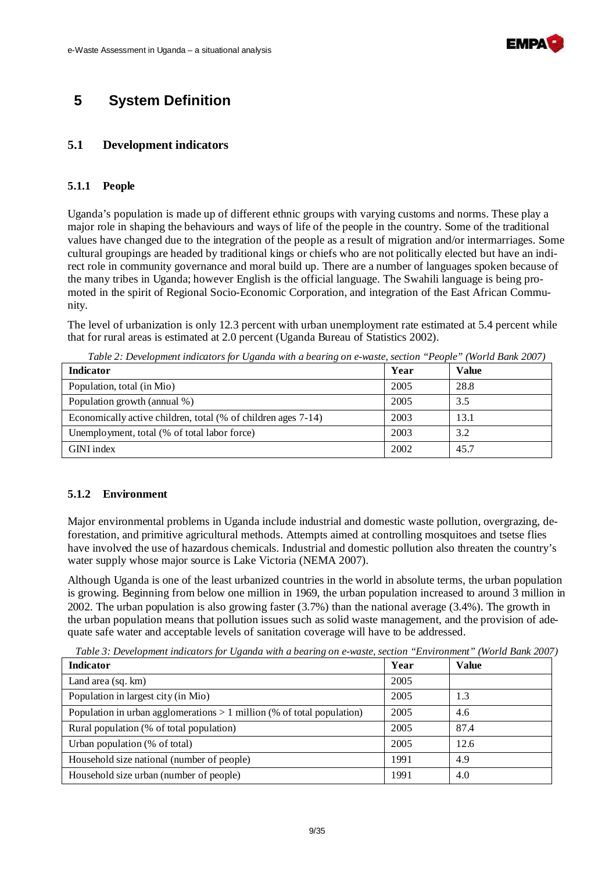

## **5 System Definition**

#### **5.1 Development indicators**

#### **5.1.1 People**

Uganda's population is made up of different ethnic groups with varying customs and norms. These play a major role in shaping the behaviours and ways of life of the people in the country. Some of the traditional values have changed due to the integration of the people as a result of migration and/or intermarriages. Some cultural groupings are headed by traditional kings or chiefs who are not politically elected but have an indirect role in community governance and moral build up. There are a number of languages spoken because of the many tribes in Uganda; however English is the official language. The Swahili language is being promoted in the spirit of Regional Socio-Economic Corporation, and integration of the East African Community.

The level of urbanization is only 12.3 percent with urban unemployment rate estimated at 5.4 percent while that for rural areas is estimated at 2.0 percent (Uganda Bureau of Statistics 2002).

| <b>Indicator</b>                                              | Year | Value |
|---------------------------------------------------------------|------|-------|
| Population, total (in Mio)                                    | 2005 | 28.8  |
| Population growth (annual %)                                  | 2005 | 3.5   |
| Economically active children, total (% of children ages 7-14) | 2003 | 13.1  |
| Unemployment, total (% of total labor force)                  | 2003 | 3.2   |
| GINI index                                                    | 2002 | 45.7  |

*Table 2: Development indicators for Uganda with a bearing on e-waste, section "People" (World Bank 2007)* 

#### **5.1.2 Environment**

Major environmental problems in Uganda include industrial and domestic waste pollution, overgrazing, deforestation, and primitive agricultural methods. Attempts aimed at controlling mosquitoes and tsetse flies have involved the use of hazardous chemicals. Industrial and domestic pollution also threaten the country's water supply whose major source is Lake Victoria (NEMA 2007).

Although Uganda is one of the least urbanized countries in the world in absolute terms, the urban population is growing. Beginning from below one million in 1969, the urban population increased to around 3 million in 2002. The urban population is also growing faster (3.7%) than the national average (3.4%). The growth in the urban population means that pollution issues such as solid waste management, and the provision of adequate safe water and acceptable levels of sanitation coverage will have to be addressed.

*Table 3: Development indicators for Uganda with a bearing on e-waste, section "Environment" (World Bank 2007)*

| Indicator                                                                | Year | <b>Value</b> |
|--------------------------------------------------------------------------|------|--------------|
| Land area (sq. km)                                                       | 2005 |              |
| Population in largest city (in Mio)                                      | 2005 | 1.3          |
| Population in urban agglomerations $> 1$ million (% of total population) | 2005 | 4.6          |
| Rural population (% of total population)                                 | 2005 | 87.4         |
| Urban population (% of total)                                            | 2005 | 12.6         |
| Household size national (number of people)                               | 1991 | 4.9          |
| Household size urban (number of people)                                  | 1991 | 4.0          |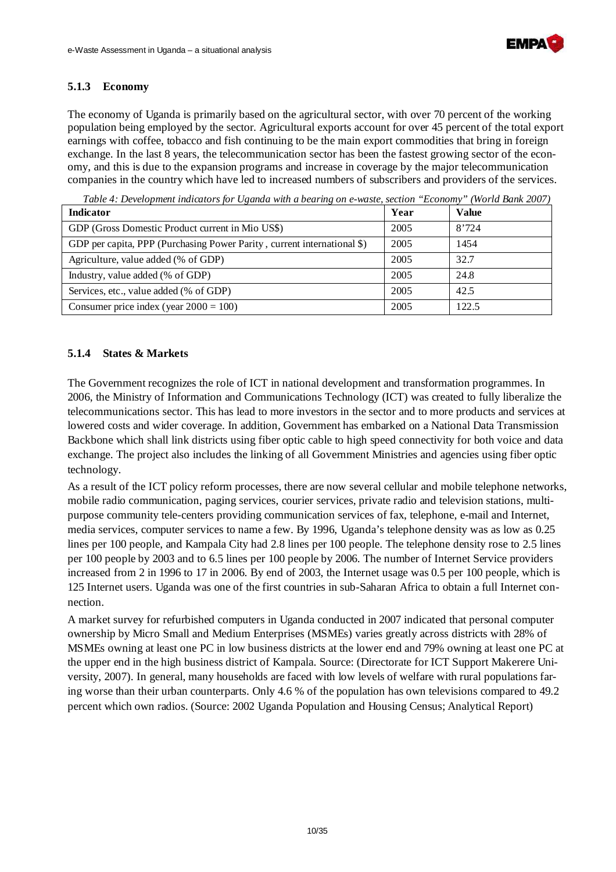

#### **5.1.3 Economy**

The economy of Uganda is primarily based on the agricultural sector, with over 70 percent of the working population being employed by the sector. Agricultural exports account for over 45 percent of the total export earnings with coffee, tobacco and fish continuing to be the main export commodities that bring in foreign exchange. In the last 8 years, the telecommunication sector has been the fastest growing sector of the economy, and this is due to the expansion programs and increase in coverage by the major telecommunication companies in the country which have led to increased numbers of subscribers and providers of the services.

| <b>Indicator</b>                                                        | Year | <b>Value</b> |
|-------------------------------------------------------------------------|------|--------------|
| GDP (Gross Domestic Product current in Mio US\$)                        | 2005 | 8'724        |
| GDP per capita, PPP (Purchasing Power Parity, current international \$) | 2005 | 1454         |
| Agriculture, value added (% of GDP)                                     | 2005 | 32.7         |
| Industry, value added (% of GDP)                                        | 2005 | 24.8         |
| Services, etc., value added (% of GDP)                                  | 2005 | 42.5         |
| Consumer price index (year $2000 = 100$ )                               | 2005 | 122.5        |

*Table 4: Development indicators for Uganda with a bearing on e-waste, section "Economy" (World Bank 2007)*

#### **5.1.4 States & Markets**

The Government recognizes the role of ICT in national development and transformation programmes. In 2006, the Ministry of Information and Communications Technology (ICT) was created to fully liberalize the telecommunications sector. This has lead to more investors in the sector and to more products and services at lowered costs and wider coverage. In addition, Government has embarked on a National Data Transmission Backbone which shall link districts using fiber optic cable to high speed connectivity for both voice and data exchange. The project also includes the linking of all Government Ministries and agencies using fiber optic technology.

As a result of the ICT policy reform processes, there are now several cellular and mobile telephone networks, mobile radio communication, paging services, courier services, private radio and television stations, multipurpose community tele-centers providing communication services of fax, telephone, e-mail and Internet, media services, computer services to name a few. By 1996, Uganda's telephone density was as low as 0.25 lines per 100 people, and Kampala City had 2.8 lines per 100 people. The telephone density rose to 2.5 lines per 100 people by 2003 and to 6.5 lines per 100 people by 2006. The number of Internet Service providers increased from 2 in 1996 to 17 in 2006. By end of 2003, the Internet usage was 0.5 per 100 people, which is 125 Internet users. Uganda was one of the first countries in sub-Saharan Africa to obtain a full Internet connection.

A market survey for refurbished computers in Uganda conducted in 2007 indicated that personal computer ownership by Micro Small and Medium Enterprises (MSMEs) varies greatly across districts with 28% of MSMEs owning at least one PC in low business districts at the lower end and 79% owning at least one PC at the upper end in the high business district of Kampala. Source: (Directorate for ICT Support Makerere University, 2007). In general, many households are faced with low levels of welfare with rural populations faring worse than their urban counterparts. Only 4.6 % of the population has own televisions compared to 49.2 percent which own radios. (Source: 2002 Uganda Population and Housing Census; Analytical Report)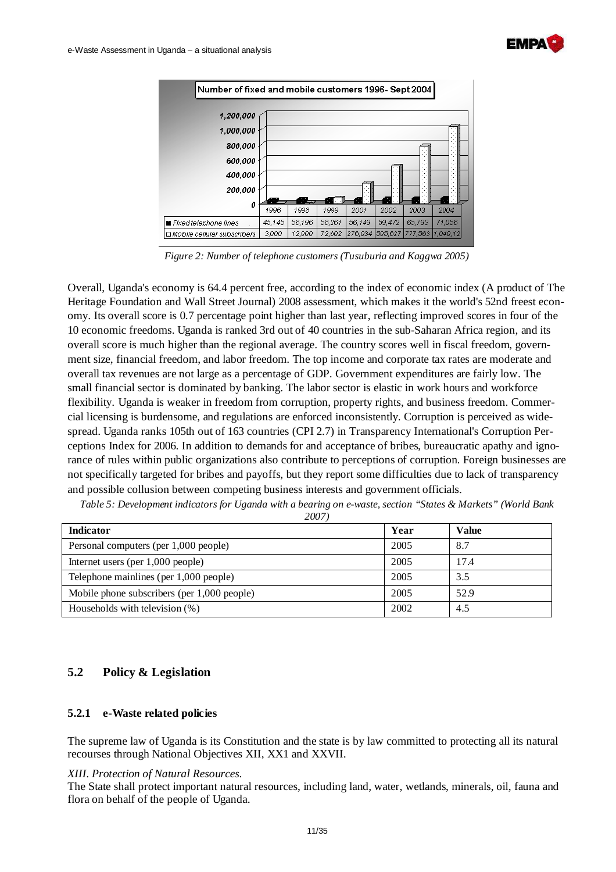



*Figure 2: Number of telephone customers (Tusuburia and Kaggwa 2005)* 

Overall, Uganda's economy is 64.4 percent free, according to the index of economic index (A product of The Heritage Foundation and Wall Street Journal) 2008 assessment, which makes it the world's 52nd freest economy. Its overall score is 0.7 percentage point higher than last year, reflecting improved scores in four of the 10 economic freedoms. Uganda is ranked 3rd out of 40 countries in the sub-Saharan Africa region, and its overall score is much higher than the regional average. The country scores well in fiscal freedom, government size, financial freedom, and labor freedom. The top income and corporate tax rates are moderate and overall tax revenues are not large as a percentage of GDP. Government expenditures are fairly low. The small financial sector is dominated by banking. The labor sector is elastic in work hours and workforce flexibility. Uganda is weaker in freedom from corruption, property rights, and business freedom. Commercial licensing is burdensome, and regulations are enforced inconsistently. Corruption is perceived as widespread. Uganda ranks 105th out of 163 countries (CPI 2.7) in Transparency International's Corruption Perceptions Index for 2006. In addition to demands for and acceptance of bribes, bureaucratic apathy and ignorance of rules within public organizations also contribute to perceptions of corruption. Foreign businesses are not specifically targeted for bribes and payoffs, but they report some difficulties due to lack of transparency and possible collusion between competing business interests and government officials.

| Table 5: Development indicators for Uganda with a bearing on e-waste, section "States & Markets" (World Bank |  |  |  |  |  |
|--------------------------------------------------------------------------------------------------------------|--|--|--|--|--|
|--------------------------------------------------------------------------------------------------------------|--|--|--|--|--|

| 2007 |
|------|
|------|

| Indicator                                   | Year | Value |
|---------------------------------------------|------|-------|
| Personal computers (per 1,000 people)       | 2005 | 8.7   |
| Internet users (per 1,000 people)           | 2005 | 17.4  |
| Telephone mainlines (per 1,000 people)      | 2005 | 3.5   |
| Mobile phone subscribers (per 1,000 people) | 2005 | 52.9  |
| Households with television (%)              | 2002 | 4.5   |

#### **5.2 Policy & Legislation**

#### **5.2.1 e-Waste related policies**

The supreme law of Uganda is its Constitution and the state is by law committed to protecting all its natural recourses through National Objectives XII, XX1 and XXVII.

#### *XIII. Protection of Natural Resources.*

The State shall protect important natural resources, including land, water, wetlands, minerals, oil, fauna and flora on behalf of the people of Uganda.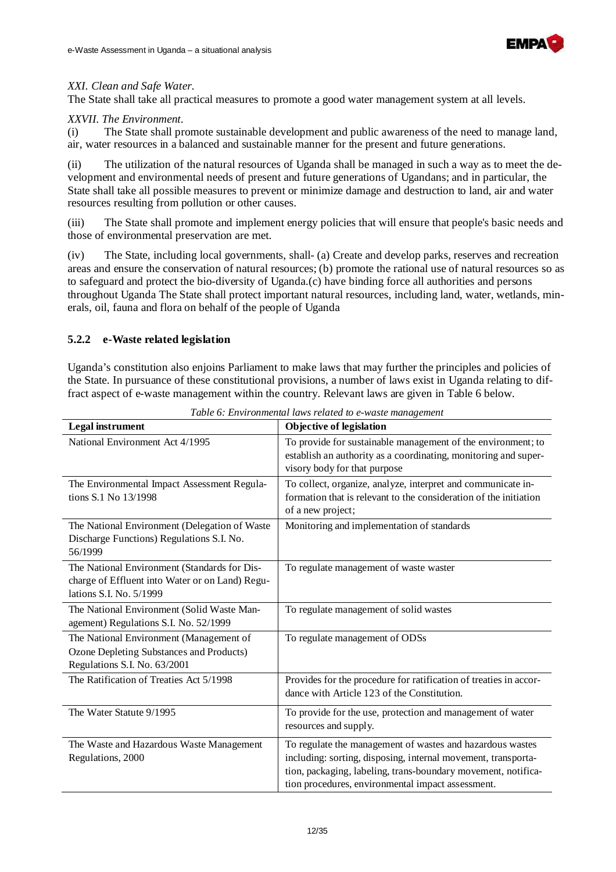

#### *XXI. Clean and Safe Water.*

The State shall take all practical measures to promote a good water management system at all levels.

#### *XXVII. The Environment.*

(i) The State shall promote sustainable development and public awareness of the need to manage land, air, water resources in a balanced and sustainable manner for the present and future generations.

(ii) The utilization of the natural resources of Uganda shall be managed in such a way as to meet the development and environmental needs of present and future generations of Ugandans; and in particular, the State shall take all possible measures to prevent or minimize damage and destruction to land, air and water resources resulting from pollution or other causes.

(iii) The State shall promote and implement energy policies that will ensure that people's basic needs and those of environmental preservation are met.

(iv) The State, including local governments, shall- (a) Create and develop parks, reserves and recreation areas and ensure the conservation of natural resources; (b) promote the rational use of natural resources so as to safeguard and protect the bio-diversity of Uganda.(c) have binding force all authorities and persons throughout Uganda The State shall protect important natural resources, including land, water, wetlands, minerals, oil, fauna and flora on behalf of the people of Uganda

#### **5.2.2 e-Waste related legislation**

Uganda's constitution also enjoins Parliament to make laws that may further the principles and policies of the State. In pursuance of these constitutional provisions, a number of laws exist in Uganda relating to diffract aspect of e-waste management within the country. Relevant laws are given in Table 6 below.

| <b>Legal</b> instrument                                                                                                    | <b>Objective of legislation</b>                                                                                                                                                                                                                  |
|----------------------------------------------------------------------------------------------------------------------------|--------------------------------------------------------------------------------------------------------------------------------------------------------------------------------------------------------------------------------------------------|
| National Environment Act 4/1995                                                                                            | To provide for sustainable management of the environment; to<br>establish an authority as a coordinating, monitoring and super-<br>visory body for that purpose                                                                                  |
| The Environmental Impact Assessment Regula-<br>tions S.1 No 13/1998                                                        | To collect, organize, analyze, interpret and communicate in-<br>formation that is relevant to the consideration of the initiation<br>of a new project;                                                                                           |
| The National Environment (Delegation of Waste<br>Discharge Functions) Regulations S.I. No.<br>56/1999                      | Monitoring and implementation of standards                                                                                                                                                                                                       |
| The National Environment (Standards for Dis-<br>charge of Effluent into Water or on Land) Regu-<br>lations S.I. No. 5/1999 | To regulate management of waste waster                                                                                                                                                                                                           |
| The National Environment (Solid Waste Man-<br>agement) Regulations S.I. No. 52/1999                                        | To regulate management of solid wastes                                                                                                                                                                                                           |
| The National Environment (Management of<br>Ozone Depleting Substances and Products)<br>Regulations S.I. No. 63/2001        | To regulate management of ODSs                                                                                                                                                                                                                   |
| The Ratification of Treaties Act 5/1998                                                                                    | Provides for the procedure for ratification of treaties in accor-<br>dance with Article 123 of the Constitution.                                                                                                                                 |
| The Water Statute 9/1995                                                                                                   | To provide for the use, protection and management of water<br>resources and supply.                                                                                                                                                              |
| The Waste and Hazardous Waste Management<br>Regulations, 2000                                                              | To regulate the management of wastes and hazardous wastes<br>including: sorting, disposing, internal movement, transporta-<br>tion, packaging, labeling, trans-boundary movement, notifica-<br>tion procedures, environmental impact assessment. |

*Table 6: Environmental laws related to e-waste management*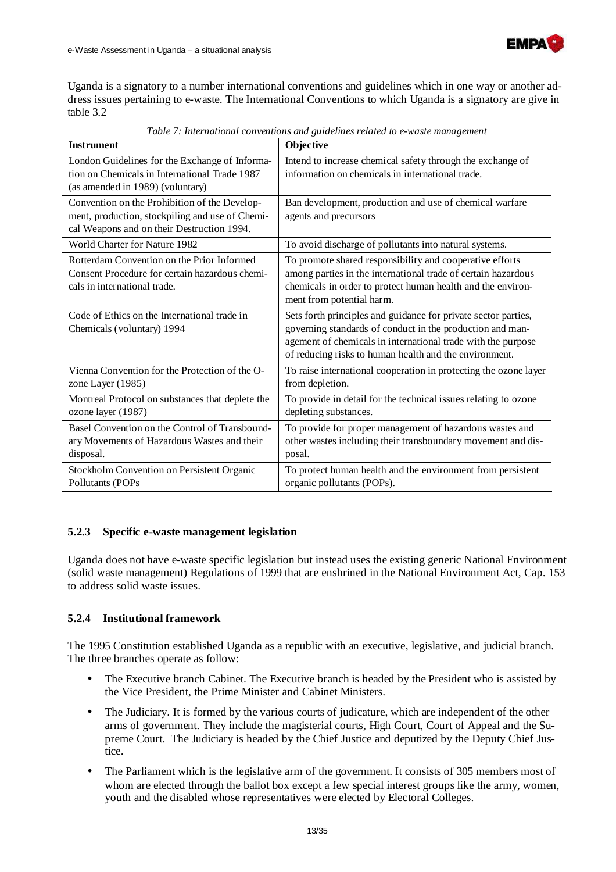

Uganda is a signatory to a number international conventions and guidelines which in one way or another address issues pertaining to e-waste. The International Conventions to which Uganda is a signatory are give in table 3.2

| <b>Instrument</b>                                                                                                                              | radio 7 : International conventions and zuntentes retated to e-maste manazement<br>Objective                                                                                                                                                          |
|------------------------------------------------------------------------------------------------------------------------------------------------|-------------------------------------------------------------------------------------------------------------------------------------------------------------------------------------------------------------------------------------------------------|
| London Guidelines for the Exchange of Informa-<br>tion on Chemicals in International Trade 1987<br>(as amended in 1989) (voluntary)            | Intend to increase chemical safety through the exchange of<br>information on chemicals in international trade.                                                                                                                                        |
| Convention on the Prohibition of the Develop-<br>ment, production, stockpiling and use of Chemi-<br>cal Weapons and on their Destruction 1994. | Ban development, production and use of chemical warfare<br>agents and precursors                                                                                                                                                                      |
| World Charter for Nature 1982                                                                                                                  | To avoid discharge of pollutants into natural systems.                                                                                                                                                                                                |
| Rotterdam Convention on the Prior Informed<br>Consent Procedure for certain hazardous chemi-<br>cals in international trade.                   | To promote shared responsibility and cooperative efforts<br>among parties in the international trade of certain hazardous<br>chemicals in order to protect human health and the environ-<br>ment from potential harm.                                 |
| Code of Ethics on the International trade in<br>Chemicals (voluntary) 1994                                                                     | Sets forth principles and guidance for private sector parties,<br>governing standards of conduct in the production and man-<br>agement of chemicals in international trade with the purpose<br>of reducing risks to human health and the environment. |
| Vienna Convention for the Protection of the O-<br>zone Layer (1985)                                                                            | To raise international cooperation in protecting the ozone layer<br>from depletion.                                                                                                                                                                   |
| Montreal Protocol on substances that deplete the<br>ozone layer (1987)                                                                         | To provide in detail for the technical issues relating to ozone<br>depleting substances.                                                                                                                                                              |
| Basel Convention on the Control of Transbound-<br>ary Movements of Hazardous Wastes and their<br>disposal.                                     | To provide for proper management of hazardous wastes and<br>other wastes including their transboundary movement and dis-<br>posal.                                                                                                                    |
| Stockholm Convention on Persistent Organic<br>Pollutants (POPs                                                                                 | To protect human health and the environment from persistent<br>organic pollutants (POPs).                                                                                                                                                             |

*Table 7: International conventions and guidelines related to e-waste management* 

#### **5.2.3 Specific e-waste management legislation**

Uganda does not have e-waste specific legislation but instead uses the existing generic National Environment (solid waste management) Regulations of 1999 that are enshrined in the National Environment Act, Cap. 153 to address solid waste issues.

#### **5.2.4 Institutional framework**

The 1995 Constitution established Uganda as a republic with an executive, legislative, and judicial branch. The three branches operate as follow:

- The Executive branch Cabinet. The Executive branch is headed by the President who is assisted by the Vice President, the Prime Minister and Cabinet Ministers.
- The Judiciary. It is formed by the various courts of judicature, which are independent of the other arms of government. They include the magisterial courts, High Court, Court of Appeal and the Supreme Court. The Judiciary is headed by the Chief Justice and deputized by the Deputy Chief Justice.
- The Parliament which is the legislative arm of the government. It consists of 305 members most of whom are elected through the ballot box except a few special interest groups like the army, women, youth and the disabled whose representatives were elected by Electoral Colleges.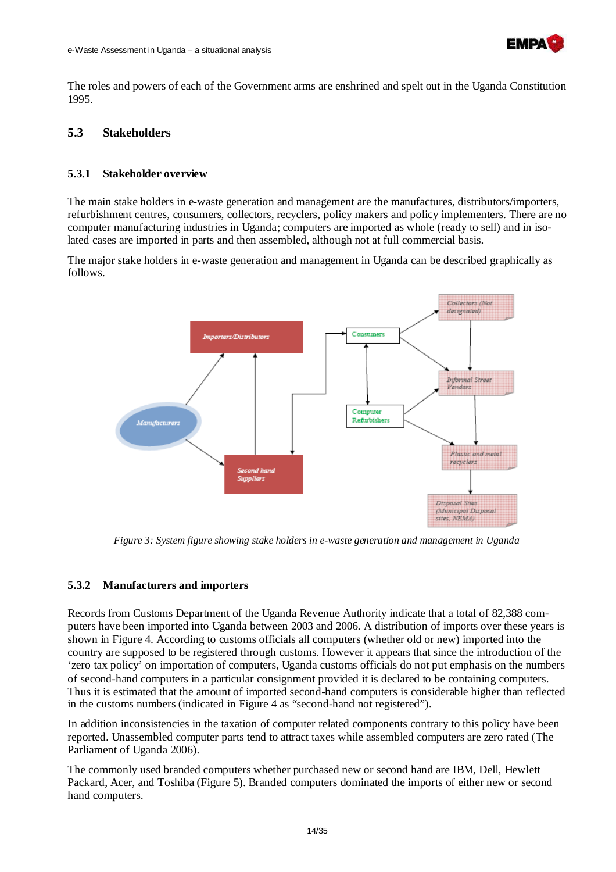

The roles and powers of each of the Government arms are enshrined and spelt out in the Uganda Constitution 1995.

#### **5.3 Stakeholders**

#### **5.3.1 Stakeholder overview**

The main stake holders in e-waste generation and management are the manufactures, distributors/importers, refurbishment centres, consumers, collectors, recyclers, policy makers and policy implementers. There are no computer manufacturing industries in Uganda; computers are imported as whole (ready to sell) and in isolated cases are imported in parts and then assembled, although not at full commercial basis.

The major stake holders in e-waste generation and management in Uganda can be described graphically as follows.



*Figure 3: System figure showing stake holders in e-waste generation and management in Uganda* 

#### **5.3.2 Manufacturers and importers**

Records from Customs Department of the Uganda Revenue Authority indicate that a total of 82,388 computers have been imported into Uganda between 2003 and 2006. A distribution of imports over these years is shown in Figure 4. According to customs officials all computers (whether old or new) imported into the country are supposed to be registered through customs. However it appears that since the introduction of the 'zero tax policy' on importation of computers, Uganda customs officials do not put emphasis on the numbers of second-hand computers in a particular consignment provided it is declared to be containing computers. Thus it is estimated that the amount of imported second-hand computers is considerable higher than reflected in the customs numbers (indicated in Figure 4 as "second-hand not registered").

In addition inconsistencies in the taxation of computer related components contrary to this policy have been reported. Unassembled computer parts tend to attract taxes while assembled computers are zero rated (The Parliament of Uganda 2006).

The commonly used branded computers whether purchased new or second hand are IBM, Dell, Hewlett Packard, Acer, and Toshiba (Figure 5). Branded computers dominated the imports of either new or second hand computers.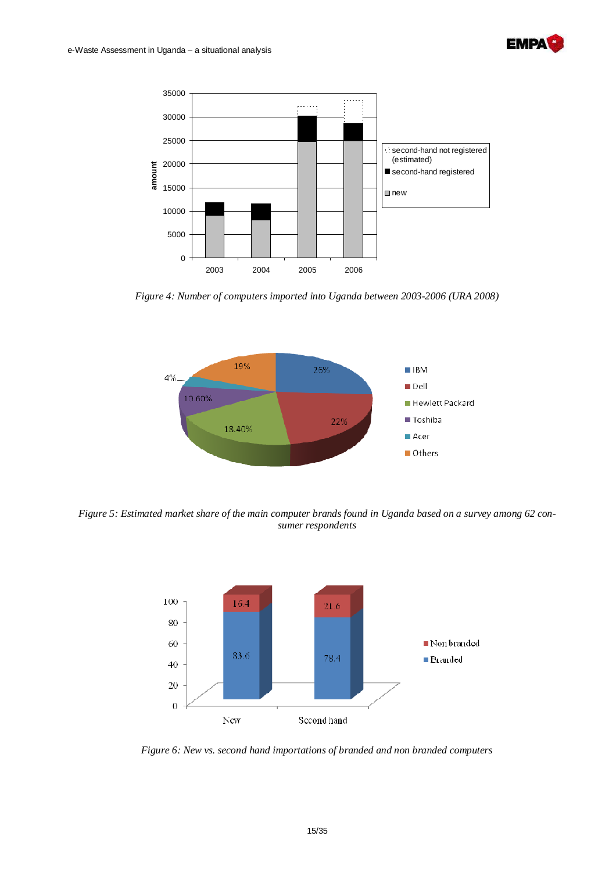



*Figure 4: Number of computers imported into Uganda between 2003-2006 (URA 2008)* 



*Figure 5: Estimated market share of the main computer brands found in Uganda based on a survey among 62 consumer respondents* 



*Figure 6: New vs. second hand importations of branded and non branded computers*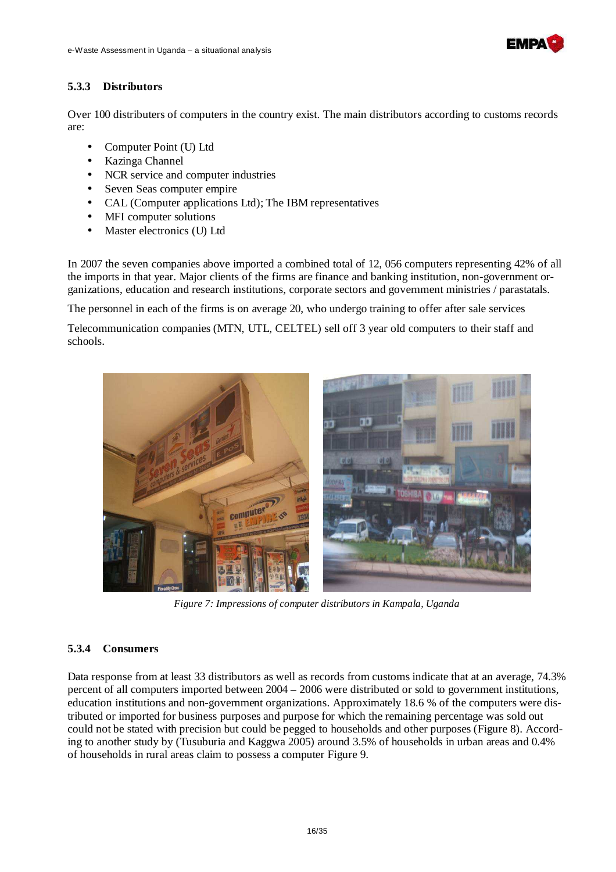

#### **5.3.3 Distributors**

Over 100 distributers of computers in the country exist. The main distributors according to customs records are:

- Computer Point (U) Ltd
- Kazinga Channel
- NCR service and computer industries
- Seven Seas computer empire
- CAL (Computer applications Ltd); The IBM representatives
- MFI computer solutions
- Master electronics (U) Ltd

In 2007 the seven companies above imported a combined total of 12, 056 computers representing 42% of all the imports in that year. Major clients of the firms are finance and banking institution, non-government organizations, education and research institutions, corporate sectors and government ministries / parastatals.

The personnel in each of the firms is on average 20, who undergo training to offer after sale services

Telecommunication companies (MTN, UTL, CELTEL) sell off 3 year old computers to their staff and schools.



*Figure 7: Impressions of computer distributors in Kampala, Uganda*

#### **5.3.4 Consumers**

Data response from at least 33 distributors as well as records from customs indicate that at an average, 74.3% percent of all computers imported between 2004 – 2006 were distributed or sold to government institutions, education institutions and non-government organizations. Approximately 18.6 % of the computers were distributed or imported for business purposes and purpose for which the remaining percentage was sold out could not be stated with precision but could be pegged to households and other purposes (Figure 8). According to another study by (Tusuburia and Kaggwa 2005) around 3.5% of households in urban areas and 0.4% of households in rural areas claim to possess a computer Figure 9.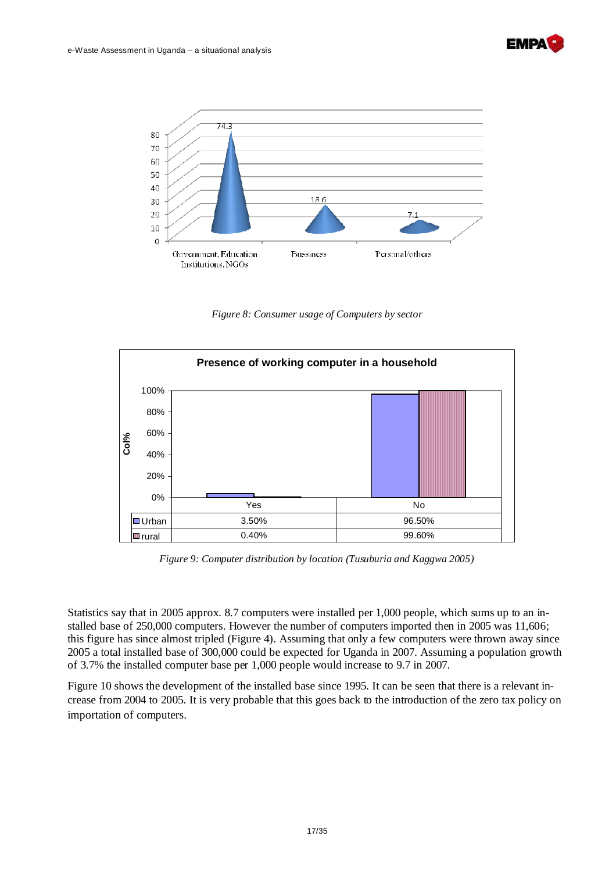



*Figure 8: Consumer usage of Computers by sector* 



*Figure 9: Computer distribution by location (Tusuburia and Kaggwa 2005)* 

Statistics say that in 2005 approx. 8.7 computers were installed per 1,000 people, which sums up to an installed base of 250,000 computers. However the number of computers imported then in 2005 was 11,606; this figure has since almost tripled (Figure 4). Assuming that only a few computers were thrown away since 2005 a total installed base of 300,000 could be expected for Uganda in 2007. Assuming a population growth of 3.7% the installed computer base per 1,000 people would increase to 9.7 in 2007.

Figure 10 shows the development of the installed base since 1995. It can be seen that there is a relevant increase from 2004 to 2005. It is very probable that this goes back to the introduction of the zero tax policy on importation of computers.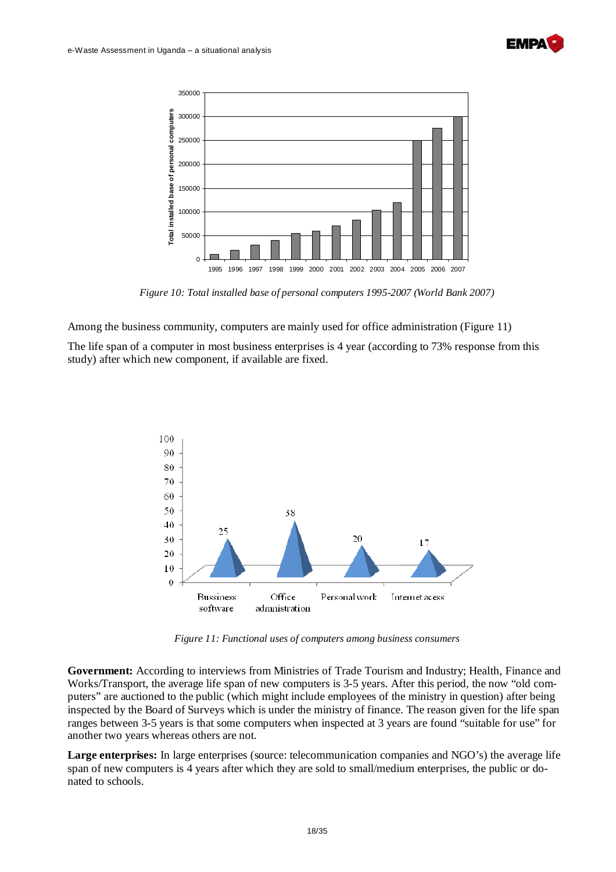



*Figure 10: Total installed base of personal computers 1995-2007 (World Bank 2007)* 

Among the business community, computers are mainly used for office administration (Figure 11)

The life span of a computer in most business enterprises is 4 year (according to 73% response from this study) after which new component, if available are fixed.



*Figure 11: Functional uses of computers among business consumers* 

**Government:** According to interviews from Ministries of Trade Tourism and Industry; Health, Finance and Works/Transport, the average life span of new computers is 3-5 years. After this period, the now "old computers" are auctioned to the public (which might include employees of the ministry in question) after being inspected by the Board of Surveys which is under the ministry of finance. The reason given for the life span ranges between 3-5 years is that some computers when inspected at 3 years are found "suitable for use" for another two years whereas others are not.

**Large enterprises:** In large enterprises (source: telecommunication companies and NGO's) the average life span of new computers is 4 years after which they are sold to small/medium enterprises, the public or donated to schools.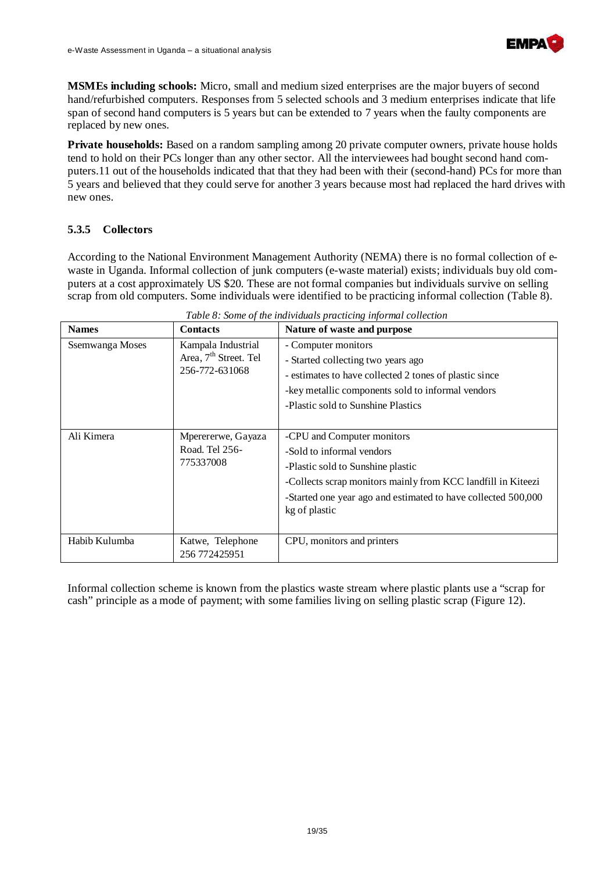

**MSMEs including schools:** Micro, small and medium sized enterprises are the major buyers of second hand/refurbished computers. Responses from 5 selected schools and 3 medium enterprises indicate that life span of second hand computers is 5 years but can be extended to 7 years when the faulty components are replaced by new ones.

**Private households:** Based on a random sampling among 20 private computer owners, private house holds tend to hold on their PCs longer than any other sector. All the interviewees had bought second hand computers.11 out of the households indicated that that they had been with their (second-hand) PCs for more than 5 years and believed that they could serve for another 3 years because most had replaced the hard drives with new ones.

#### **5.3.5 Collectors**

According to the National Environment Management Authority (NEMA) there is no formal collection of ewaste in Uganda. Informal collection of junk computers (e-waste material) exists; individuals buy old computers at a cost approximately US \$20. These are not formal companies but individuals survive on selling scrap from old computers. Some individuals were identified to be practicing informal collection (Table 8).

| <b>Names</b>    | <b>Contacts</b>                                                           | Nature of waste and purpose                                                                                                                                                                                                                    |
|-----------------|---------------------------------------------------------------------------|------------------------------------------------------------------------------------------------------------------------------------------------------------------------------------------------------------------------------------------------|
| Ssemwanga Moses | Kampala Industrial<br>Area, 7 <sup>th</sup> Street. Tel<br>256-772-631068 | - Computer monitors<br>- Started collecting two years ago<br>- estimates to have collected 2 tones of plastic since                                                                                                                            |
|                 |                                                                           | -key metallic components sold to informal vendors                                                                                                                                                                                              |
|                 |                                                                           | -Plastic sold to Sunshine Plastics                                                                                                                                                                                                             |
| Ali Kimera      | Mperererwe, Gayaza<br>Road. Tel 256-<br>775337008                         | -CPU and Computer monitors<br>-Sold to informal vendors<br>-Plastic sold to Sunshine plastic<br>-Collects scrap monitors mainly from KCC landfill in Kiteezi<br>-Started one year ago and estimated to have collected 500,000<br>kg of plastic |
| Habib Kulumba   | Katwe, Telephone<br>256 772425951                                         | CPU, monitors and printers                                                                                                                                                                                                                     |

*Table 8: Some of the individuals practicing informal collection* 

Informal collection scheme is known from the plastics waste stream where plastic plants use a "scrap for cash" principle as a mode of payment; with some families living on selling plastic scrap (Figure 12).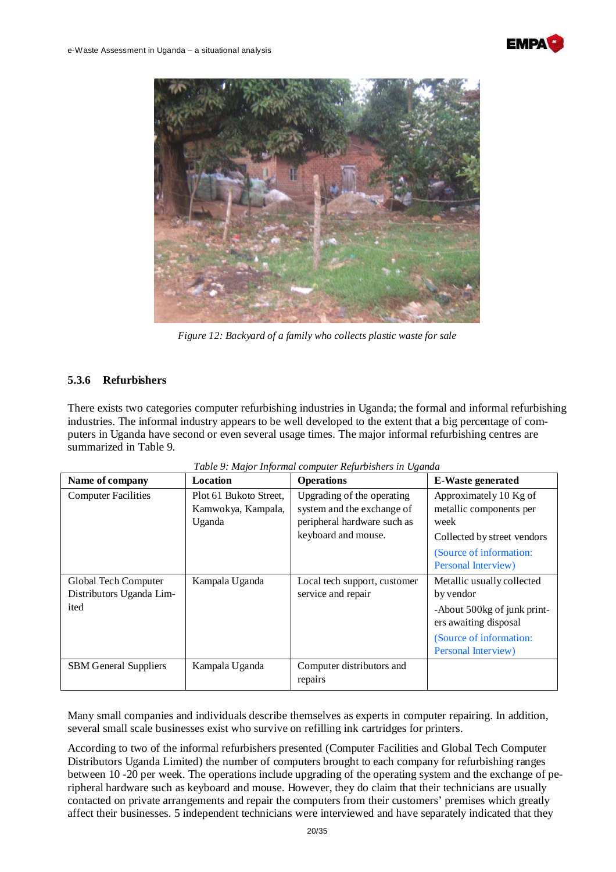



*Figure 12: Backyard of a family who collects plastic waste for sale* 

#### **5.3.6 Refurbishers**

There exists two categories computer refurbishing industries in Uganda; the formal and informal refurbishing industries. The informal industry appears to be well developed to the extent that a big percentage of computers in Uganda have second or even several usage times. The major informal refurbishing centres are summarized in Table 9.

| Name of company                                          | Location                                               | <b>Operations</b>                                                                                              | <b>E-Waste generated</b>                                                                                                                          |
|----------------------------------------------------------|--------------------------------------------------------|----------------------------------------------------------------------------------------------------------------|---------------------------------------------------------------------------------------------------------------------------------------------------|
| <b>Computer Facilities</b>                               | Plot 61 Bukoto Street,<br>Kamwokya, Kampala,<br>Uganda | Upgrading of the operating<br>system and the exchange of<br>peripheral hardware such as<br>keyboard and mouse. | Approximately 10 Kg of<br>metallic components per<br>week<br>Collected by street vendors<br>(Source of information:<br>Personal Interview)        |
| Global Tech Computer<br>Distributors Uganda Lim-<br>ited | Kampala Uganda                                         | Local tech support, customer<br>service and repair                                                             | Metallic usually collected<br>by vendor<br>-About 500kg of junk print-<br>ers awaiting disposal<br>(Source of information:<br>Personal Interview) |
| <b>SBM</b> General Suppliers                             | Kampala Uganda                                         | Computer distributors and<br>repairs                                                                           |                                                                                                                                                   |

|  |  | Table 9: Major Informal computer Refurbishers in Uganda |  |
|--|--|---------------------------------------------------------|--|
|  |  |                                                         |  |

Many small companies and individuals describe themselves as experts in computer repairing. In addition, several small scale businesses exist who survive on refilling ink cartridges for printers.

According to two of the informal refurbishers presented (Computer Facilities and Global Tech Computer Distributors Uganda Limited) the number of computers brought to each company for refurbishing ranges between 10 -20 per week. The operations include upgrading of the operating system and the exchange of peripheral hardware such as keyboard and mouse. However, they do claim that their technicians are usually contacted on private arrangements and repair the computers from their customers' premises which greatly affect their businesses. 5 independent technicians were interviewed and have separately indicated that they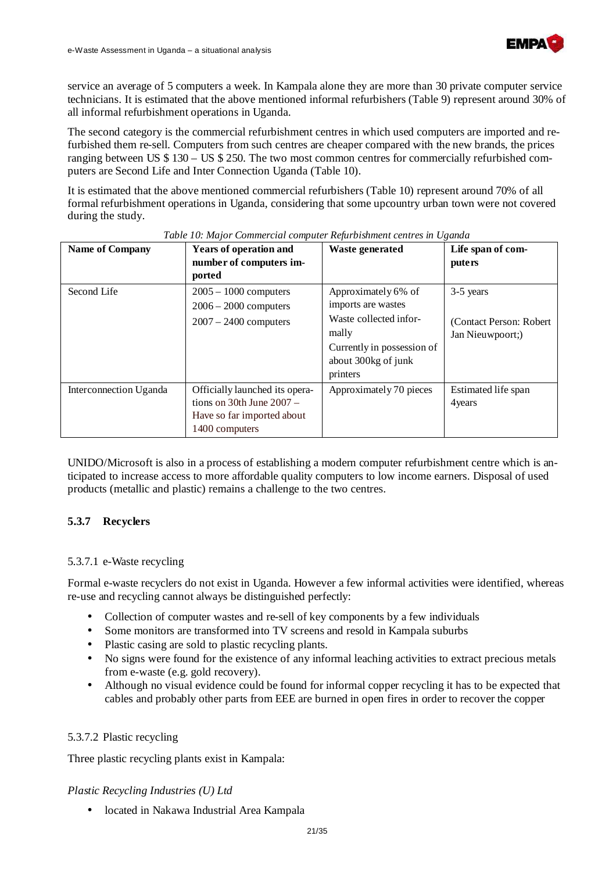

service an average of 5 computers a week. In Kampala alone they are more than 30 private computer service technicians. It is estimated that the above mentioned informal refurbishers (Table 9) represent around 30% of all informal refurbishment operations in Uganda.

The second category is the commercial refurbishment centres in which used computers are imported and refurbished them re-sell. Computers from such centres are cheaper compared with the new brands, the prices ranging between US \$ 130 – US \$ 250. The two most common centres for commercially refurbished computers are Second Life and Inter Connection Uganda (Table 10).

It is estimated that the above mentioned commercial refurbishers (Table 10) represent around 70% of all formal refurbishment operations in Uganda, considering that some upcountry urban town were not covered during the study.

| <b>Name of Company</b> | Years of operation and<br>number of computers im-<br>ported                                                   | <b>Waste generated</b>                                                                                                                        | Life span of com-<br><i>puters</i>                        |
|------------------------|---------------------------------------------------------------------------------------------------------------|-----------------------------------------------------------------------------------------------------------------------------------------------|-----------------------------------------------------------|
| Second Life            | $2005 - 1000$ computers<br>$2006 - 2000$ computers<br>$2007 - 2400$ computers                                 | Approximately 6% of<br>imports are wastes<br>Waste collected infor-<br>mally<br>Currently in possession of<br>about 300kg of junk<br>printers | 3-5 years<br>(Contact Person: Robert)<br>Jan Nieuwpoort;) |
| Interconnection Uganda | Officially launched its opera-<br>tions on 30th June $2007 -$<br>Have so far imported about<br>1400 computers | Approximately 70 pieces                                                                                                                       | Estimated life span<br>4 years                            |

#### *Table 10: Major Commercial computer Refurbishment centres in Uganda*

UNIDO/Microsoft is also in a process of establishing a modern computer refurbishment centre which is anticipated to increase access to more affordable quality computers to low income earners. Disposal of used products (metallic and plastic) remains a challenge to the two centres.

#### **5.3.7 Recyclers**

#### 5.3.7.1 e-Waste recycling

Formal e-waste recyclers do not exist in Uganda. However a few informal activities were identified, whereas re-use and recycling cannot always be distinguished perfectly:

- Collection of computer wastes and re-sell of key components by a few individuals
- Some monitors are transformed into TV screens and resold in Kampala suburbs
- Plastic casing are sold to plastic recycling plants.
- No signs were found for the existence of any informal leaching activities to extract precious metals from e-waste (e.g. gold recovery).
- Although no visual evidence could be found for informal copper recycling it has to be expected that cables and probably other parts from EEE are burned in open fires in order to recover the copper

#### 5.3.7.2 Plastic recycling

Three plastic recycling plants exist in Kampala:

#### *Plastic Recycling Industries (U) Ltd*

located in Nakawa Industrial Area Kampala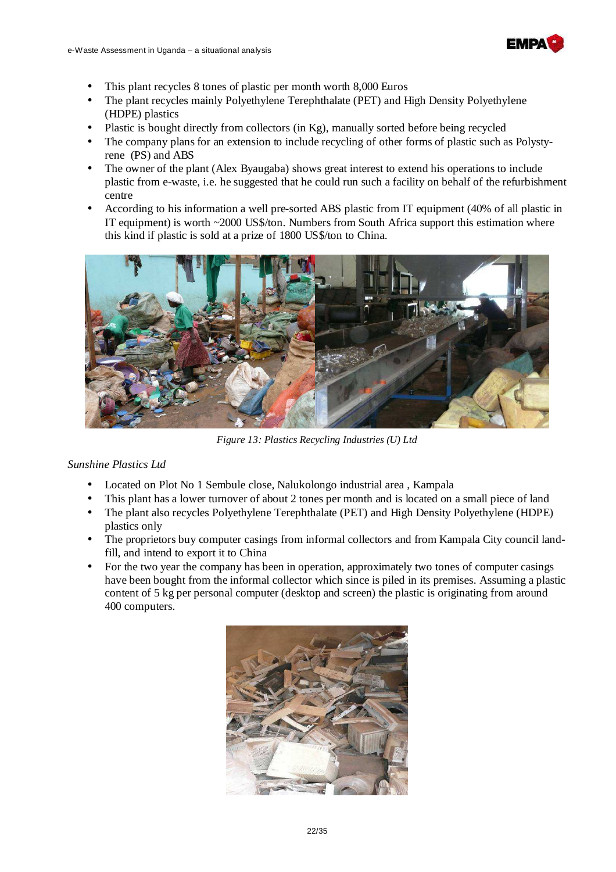

- This plant recycles 8 tones of plastic per month worth 8,000 Euros
- The plant recycles mainly Polyethylene Terephthalate (PET) and High Density Polyethylene (HDPE) plastics
- Plastic is bought directly from collectors (in Kg), manually sorted before being recycled
- The company plans for an extension to include recycling of other forms of plastic such as Polystyrene (PS) and ABS
- The owner of the plant (Alex Byaugaba) shows great interest to extend his operations to include plastic from e-waste, i.e. he suggested that he could run such a facility on behalf of the refurbishment centre
- According to his information a well pre-sorted ABS plastic from IT equipment (40% of all plastic in IT equipment) is worth  $\sim$ 2000 US\$/ton. Numbers from South Africa support this estimation where this kind if plastic is sold at a prize of 1800 US\$/ton to China.



*Figure 13: Plastics Recycling Industries (U) Ltd* 

#### *Sunshine Plastics Ltd*

- Located on Plot No 1 Sembule close, Nalukolongo industrial area , Kampala
- This plant has a lower turnover of about 2 tones per month and is located on a small piece of land
- The plant also recycles Polyethylene Terephthalate (PET) and High Density Polyethylene (HDPE) plastics only
- The proprietors buy computer casings from informal collectors and from Kampala City council landfill, and intend to export it to China
- For the two year the company has been in operation, approximately two tones of computer casings have been bought from the informal collector which since is piled in its premises. Assuming a plastic content of 5 kg per personal computer (desktop and screen) the plastic is originating from around 400 computers.

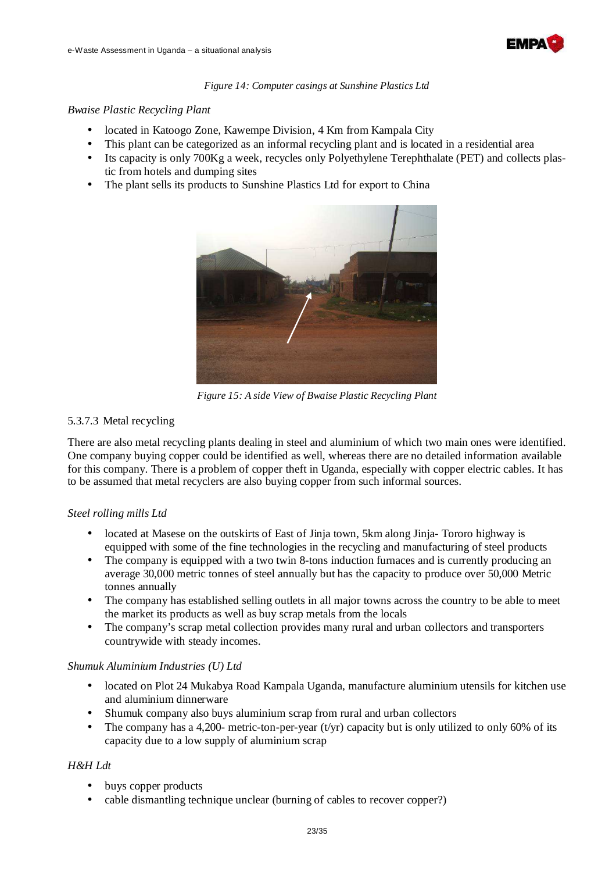

#### *Figure 14: Computer casings at Sunshine Plastics Ltd*

#### *Bwaise Plastic Recycling Plant*

- located in Katoogo Zone, Kawempe Division, 4 Km from Kampala City
- This plant can be categorized as an informal recycling plant and is located in a residential area
- Its capacity is only 700Kg a week, recycles only Polyethylene Terephthalate (PET) and collects plastic from hotels and dumping sites
- The plant sells its products to Sunshine Plastics Ltd for export to China



*Figure 15: A side View of Bwaise Plastic Recycling Plant* 

#### 5.3.7.3 Metal recycling

There are also metal recycling plants dealing in steel and aluminium of which two main ones were identified. One company buying copper could be identified as well, whereas there are no detailed information available for this company. There is a problem of copper theft in Uganda, especially with copper electric cables. It has to be assumed that metal recyclers are also buying copper from such informal sources.

#### *Steel rolling mills Ltd*

- located at Masese on the outskirts of East of Jinja town, 5km along Jinja- Tororo highway is equipped with some of the fine technologies in the recycling and manufacturing of steel products
- The company is equipped with a two twin 8-tons induction furnaces and is currently producing an average 30,000 metric tonnes of steel annually but has the capacity to produce over 50,000 Metric tonnes annually
- The company has established selling outlets in all major towns across the country to be able to meet the market its products as well as buy scrap metals from the locals
- The company's scrap metal collection provides many rural and urban collectors and transporters countrywide with steady incomes.

#### *Shumuk Aluminium Industries (U) Ltd*

- located on Plot 24 Mukabya Road Kampala Uganda, manufacture aluminium utensils for kitchen use and aluminium dinnerware
- Shumuk company also buys aluminium scrap from rural and urban collectors
- The company has a 4,200- metric-ton-per-year (t/yr) capacity but is only utilized to only 60% of its capacity due to a low supply of aluminium scrap

#### *H&H Ldt*

- buys copper products
- cable dismantling technique unclear (burning of cables to recover copper?)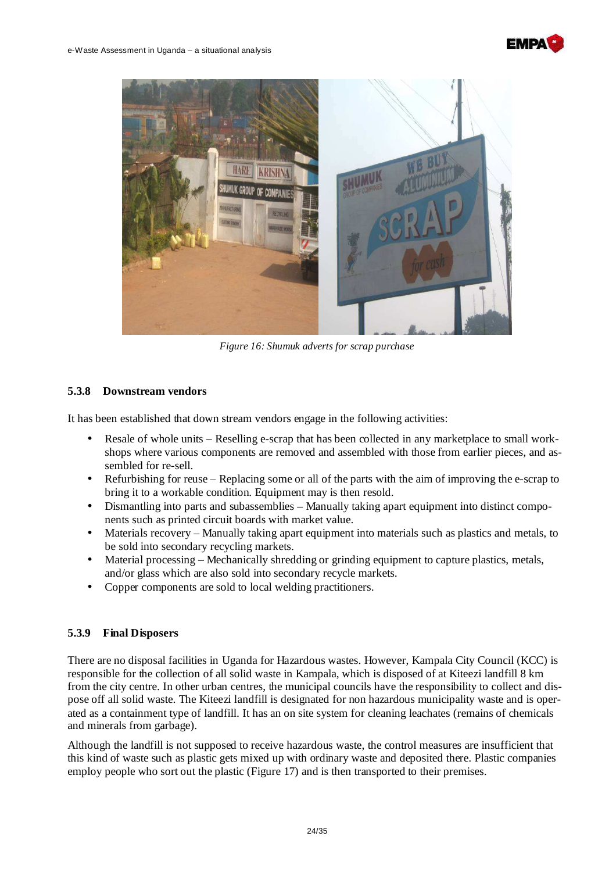



*Figure 16: Shumuk adverts for scrap purchase* 

#### **5.3.8 Downstream vendors**

It has been established that down stream vendors engage in the following activities:

- Resale of whole units Reselling e-scrap that has been collected in any marketplace to small workshops where various components are removed and assembled with those from earlier pieces, and assembled for re-sell.
- Refurbishing for reuse Replacing some or all of the parts with the aim of improving the e-scrap to bring it to a workable condition. Equipment may is then resold.
- Dismantling into parts and subassemblies Manually taking apart equipment into distinct components such as printed circuit boards with market value.
- Materials recovery Manually taking apart equipment into materials such as plastics and metals, to be sold into secondary recycling markets.
- Material processing Mechanically shredding or grinding equipment to capture plastics, metals, and/or glass which are also sold into secondary recycle markets.
- Copper components are sold to local welding practitioners.

#### **5.3.9 Final Disposers**

There are no disposal facilities in Uganda for Hazardous wastes. However, Kampala City Council (KCC) is responsible for the collection of all solid waste in Kampala, which is disposed of at Kiteezi landfill 8 km from the city centre. In other urban centres, the municipal councils have the responsibility to collect and dispose off all solid waste. The Kiteezi landfill is designated for non hazardous municipality waste and is operated as a containment type of landfill. It has an on site system for cleaning leachates (remains of chemicals and minerals from garbage).

Although the landfill is not supposed to receive hazardous waste, the control measures are insufficient that this kind of waste such as plastic gets mixed up with ordinary waste and deposited there. Plastic companies employ people who sort out the plastic (Figure 17) and is then transported to their premises.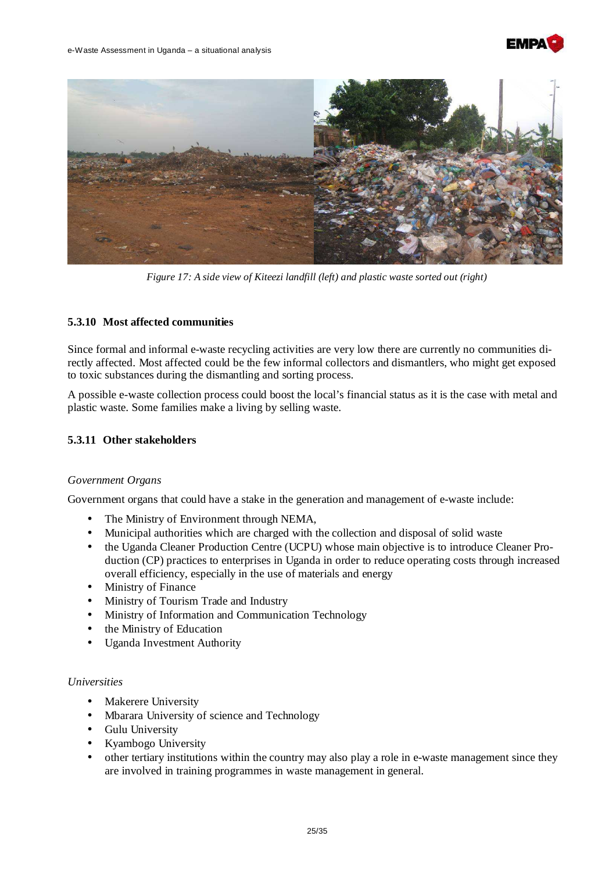



*Figure 17: A side view of Kiteezi landfill (left) and plastic waste sorted out (right)* 

#### **5.3.10 Most affected communities**

Since formal and informal e-waste recycling activities are very low there are currently no communities directly affected. Most affected could be the few informal collectors and dismantlers, who might get exposed to toxic substances during the dismantling and sorting process.

A possible e-waste collection process could boost the local's financial status as it is the case with metal and plastic waste. Some families make a living by selling waste.

#### **5.3.11 Other stakeholders**

#### *Government Organs*

Government organs that could have a stake in the generation and management of e-waste include:

- The Ministry of Environment through NEMA,
- Municipal authorities which are charged with the collection and disposal of solid waste
- the Uganda Cleaner Production Centre (UCPU) whose main objective is to introduce Cleaner Production (CP) practices to enterprises in Uganda in order to reduce operating costs through increased overall efficiency, especially in the use of materials and energy
- Ministry of Finance
- Ministry of Tourism Trade and Industry
- Ministry of Information and Communication Technology
- the Ministry of Education
- Uganda Investment Authority

#### *Universities*

- **Makerere University**
- Mbarara University of science and Technology
- Gulu University
- Kyambogo University
- other tertiary institutions within the country may also play a role in e-waste management since they are involved in training programmes in waste management in general.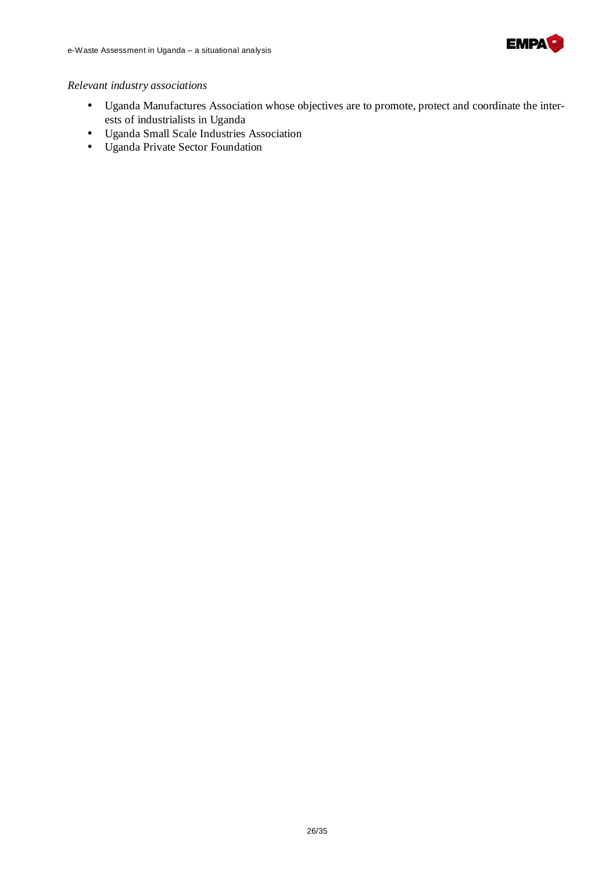

#### *Relevant industry associations*

- Uganda Manufactures Association whose objectives are to promote, protect and coordinate the interests of industrialists in Uganda
- Uganda Small Scale Industries Association
- Uganda Private Sector Foundation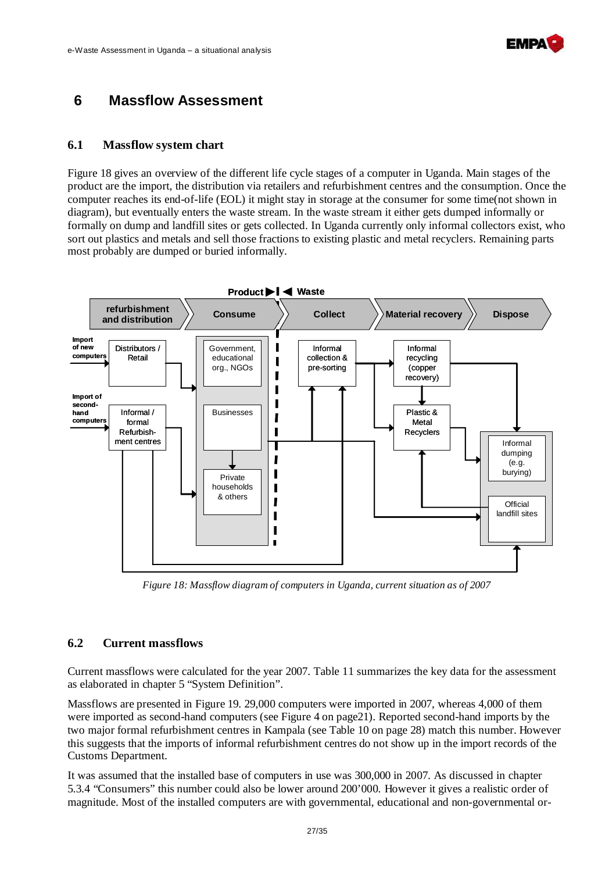

## **6 Massflow Assessment**

#### **6.1 Massflow system chart**

Figure 18 gives an overview of the different life cycle stages of a computer in Uganda. Main stages of the product are the import, the distribution via retailers and refurbishment centres and the consumption. Once the computer reaches its end-of-life (EOL) it might stay in storage at the consumer for some time(not shown in diagram), but eventually enters the waste stream. In the waste stream it either gets dumped informally or formally on dump and landfill sites or gets collected. In Uganda currently only informal collectors exist, who sort out plastics and metals and sell those fractions to existing plastic and metal recyclers. Remaining parts most probably are dumped or buried informally.



*Figure 18: Massflow diagram of computers in Uganda, current situation as of 2007* 

#### **6.2 Current massflows**

Current massflows were calculated for the year 2007. Table 11 summarizes the key data for the assessment as elaborated in chapter 5 "System Definition".

Massflows are presented in Figure 19. 29,000 computers were imported in 2007, whereas 4,000 of them were imported as second-hand computers (see Figure 4 on page21). Reported second-hand imports by the two major formal refurbishment centres in Kampala (see Table 10 on page 28) match this number. However this suggests that the imports of informal refurbishment centres do not show up in the import records of the Customs Department.

It was assumed that the installed base of computers in use was 300,000 in 2007. As discussed in chapter 5.3.4 "Consumers" this number could also be lower around 200'000. However it gives a realistic order of magnitude. Most of the installed computers are with governmental, educational and non-governmental or-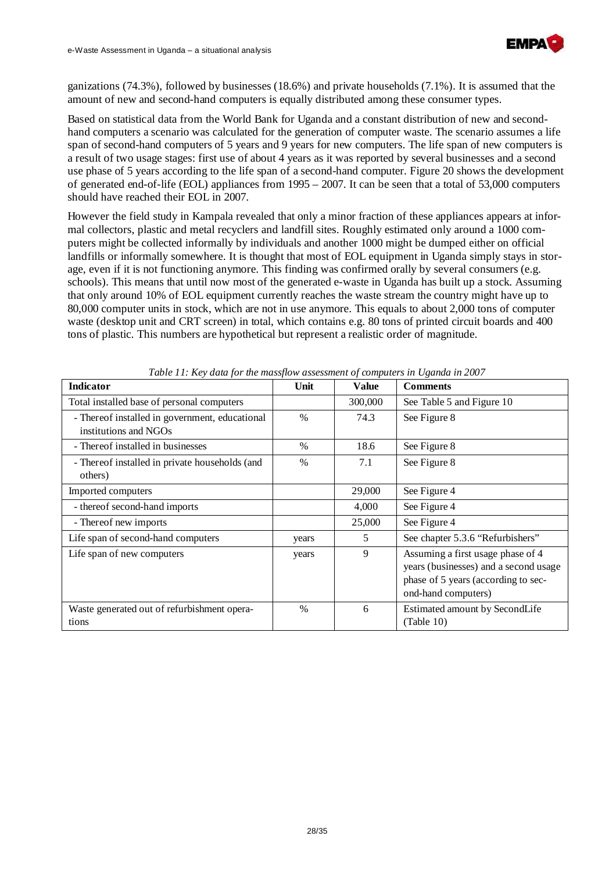

ganizations (74.3%), followed by businesses (18.6%) and private households (7.1%). It is assumed that the amount of new and second-hand computers is equally distributed among these consumer types.

Based on statistical data from the World Bank for Uganda and a constant distribution of new and secondhand computers a scenario was calculated for the generation of computer waste. The scenario assumes a life span of second-hand computers of 5 years and 9 years for new computers. The life span of new computers is a result of two usage stages: first use of about 4 years as it was reported by several businesses and a second use phase of 5 years according to the life span of a second-hand computer. Figure 20 shows the development of generated end-of-life (EOL) appliances from 1995 – 2007. It can be seen that a total of 53,000 computers should have reached their EOL in 2007.

However the field study in Kampala revealed that only a minor fraction of these appliances appears at informal collectors, plastic and metal recyclers and landfill sites. Roughly estimated only around a 1000 computers might be collected informally by individuals and another 1000 might be dumped either on official landfills or informally somewhere. It is thought that most of EOL equipment in Uganda simply stays in storage, even if it is not functioning anymore. This finding was confirmed orally by several consumers (e.g. schools). This means that until now most of the generated e-waste in Uganda has built up a stock. Assuming that only around 10% of EOL equipment currently reaches the waste stream the country might have up to 80,000 computer units in stock, which are not in use anymore. This equals to about 2,000 tons of computer waste (desktop unit and CRT screen) in total, which contains e.g. 80 tons of printed circuit boards and 400 tons of plastic. This numbers are hypothetical but represent a realistic order of magnitude.

| <b>Indicator</b>                                                        | Unit          | Value   | <b>Comments</b>                                                                                                                          |
|-------------------------------------------------------------------------|---------------|---------|------------------------------------------------------------------------------------------------------------------------------------------|
| Total installed base of personal computers                              |               | 300,000 | See Table 5 and Figure 10                                                                                                                |
| - Thereof installed in government, educational<br>institutions and NGOs | $\frac{0}{0}$ | 74.3    | See Figure 8                                                                                                                             |
| - Thereof installed in businesses                                       | $\frac{0}{0}$ | 18.6    | See Figure 8                                                                                                                             |
| - Thereof installed in private households (and<br>others)               | $\frac{0}{0}$ | 7.1     | See Figure 8                                                                                                                             |
| Imported computers                                                      |               | 29,000  | See Figure 4                                                                                                                             |
| - thereof second-hand imports                                           |               | 4,000   | See Figure 4                                                                                                                             |
| - Thereof new imports                                                   |               | 25,000  | See Figure 4                                                                                                                             |
| Life span of second-hand computers                                      | years         | 5       | See chapter 5.3.6 "Refurbishers"                                                                                                         |
| Life span of new computers                                              | years         | 9       | Assuming a first usage phase of 4<br>years (businesses) and a second usage<br>phase of 5 years (according to sec-<br>ond-hand computers) |
| Waste generated out of refurbishment opera-<br>tions                    | $\frac{0}{0}$ | 6       | Estimated amount by SecondLife<br>(Table 10)                                                                                             |

*Table 11: Key data for the massflow assessment of computers in Uganda in 2007*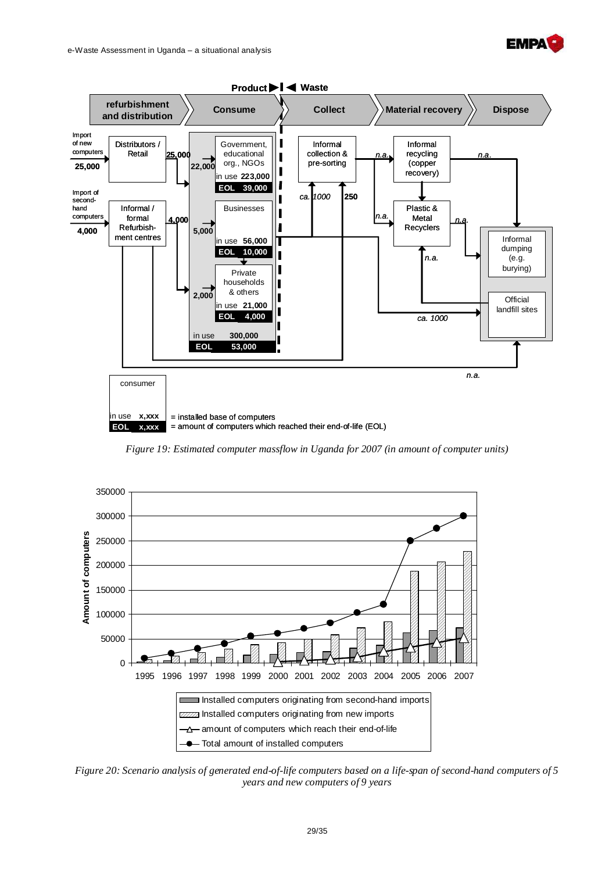



*Figure 19: Estimated computer massflow in Uganda for 2007 (in amount of computer units)* 



*Figure 20: Scenario analysis of generated end-of-life computers based on a life-span of second-hand computers of 5 years and new computers of 9 years*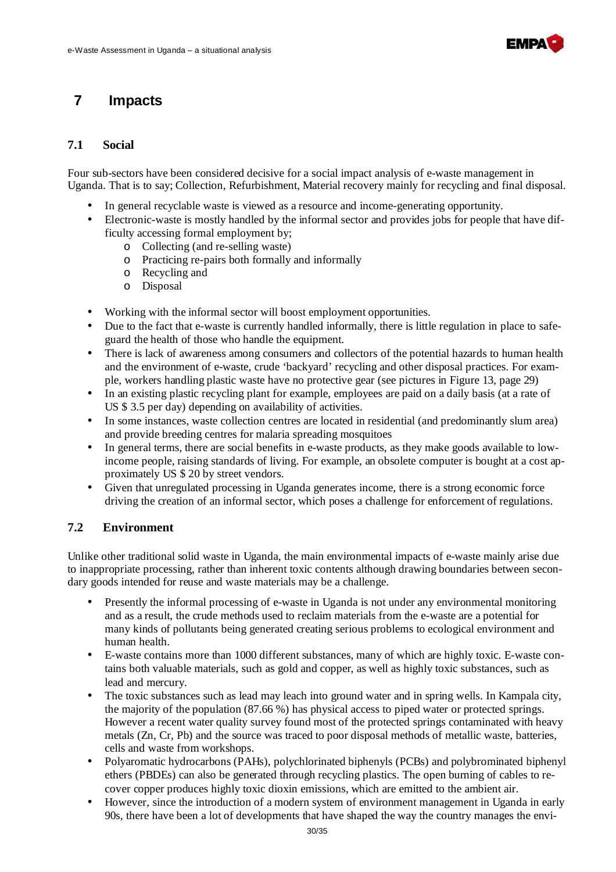

## **7 Impacts**

#### **7.1 Social**

Four sub-sectors have been considered decisive for a social impact analysis of e-waste management in Uganda. That is to say; Collection, Refurbishment, Material recovery mainly for recycling and final disposal.

- In general recyclable waste is viewed as a resource and income-generating opportunity.
- Electronic-waste is mostly handled by the informal sector and provides jobs for people that have difficulty accessing formal employment by;
	- o Collecting (and re-selling waste)
	- o Practicing re-pairs both formally and informally
	- o Recycling and
	- o Disposal
- Working with the informal sector will boost employment opportunities.
- Due to the fact that e-waste is currently handled informally, there is little regulation in place to safeguard the health of those who handle the equipment.
- There is lack of awareness among consumers and collectors of the potential hazards to human health and the environment of e-waste, crude 'backyard' recycling and other disposal practices. For example, workers handling plastic waste have no protective gear (see pictures in Figure 13, page 29)
- In an existing plastic recycling plant for example, employees are paid on a daily basis (at a rate of US \$ 3.5 per day) depending on availability of activities.
- In some instances, waste collection centres are located in residential (and predominantly slum area) and provide breeding centres for malaria spreading mosquitoes
- In general terms, there are social benefits in e-waste products, as they make goods available to lowincome people, raising standards of living. For example, an obsolete computer is bought at a cost approximately US \$ 20 by street vendors.
- Given that unregulated processing in Uganda generates income, there is a strong economic force driving the creation of an informal sector, which poses a challenge for enforcement of regulations.

#### **7.2 Environment**

Unlike other traditional solid waste in Uganda, the main environmental impacts of e-waste mainly arise due to inappropriate processing, rather than inherent toxic contents although drawing boundaries between secondary goods intended for reuse and waste materials may be a challenge.

- Presently the informal processing of e-waste in Uganda is not under any environmental monitoring and as a result, the crude methods used to reclaim materials from the e-waste are a potential for many kinds of pollutants being generated creating serious problems to ecological environment and human health.
- E-waste contains more than 1000 different substances, many of which are highly toxic. E-waste contains both valuable materials, such as gold and copper, as well as highly toxic substances, such as lead and mercury.
- The toxic substances such as lead may leach into ground water and in spring wells. In Kampala city, the majority of the population (87.66 %) has physical access to piped water or protected springs. However a recent water quality survey found most of the protected springs contaminated with heavy metals (Zn, Cr, Pb) and the source was traced to poor disposal methods of metallic waste, batteries, cells and waste from workshops.
- Polyaromatic hydrocarbons (PAHs), polychlorinated biphenyls (PCBs) and polybrominated biphenyl ethers (PBDEs) can also be generated through recycling plastics. The open burning of cables to recover copper produces highly toxic dioxin emissions, which are emitted to the ambient air.
- However, since the introduction of a modern system of environment management in Uganda in early 90s, there have been a lot of developments that have shaped the way the country manages the envi-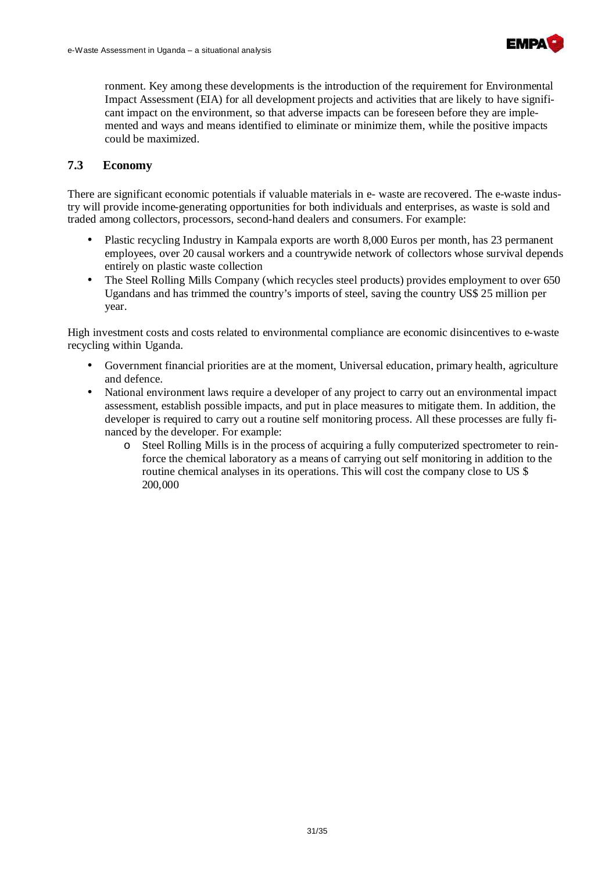

ronment. Key among these developments is the introduction of the requirement for Environmental Impact Assessment (EIA) for all development projects and activities that are likely to have significant impact on the environment, so that adverse impacts can be foreseen before they are implemented and ways and means identified to eliminate or minimize them, while the positive impacts could be maximized.

#### **7.3 Economy**

There are significant economic potentials if valuable materials in e- waste are recovered. The e-waste industry will provide income-generating opportunities for both individuals and enterprises, as waste is sold and traded among collectors, processors, second-hand dealers and consumers. For example:

- Plastic recycling Industry in Kampala exports are worth 8,000 Euros per month, has 23 permanent employees, over 20 causal workers and a countrywide network of collectors whose survival depends entirely on plastic waste collection
- The Steel Rolling Mills Company (which recycles steel products) provides employment to over 650 Ugandans and has trimmed the country's imports of steel, saving the country US\$ 25 million per year.

High investment costs and costs related to environmental compliance are economic disincentives to e-waste recycling within Uganda.

- Government financial priorities are at the moment, Universal education, primary health, agriculture and defence.
- National environment laws require a developer of any project to carry out an environmental impact assessment, establish possible impacts, and put in place measures to mitigate them. In addition, the developer is required to carry out a routine self monitoring process. All these processes are fully financed by the developer. For example:
	- o Steel Rolling Mills is in the process of acquiring a fully computerized spectrometer to reinforce the chemical laboratory as a means of carrying out self monitoring in addition to the routine chemical analyses in its operations. This will cost the company close to US \$ 200,000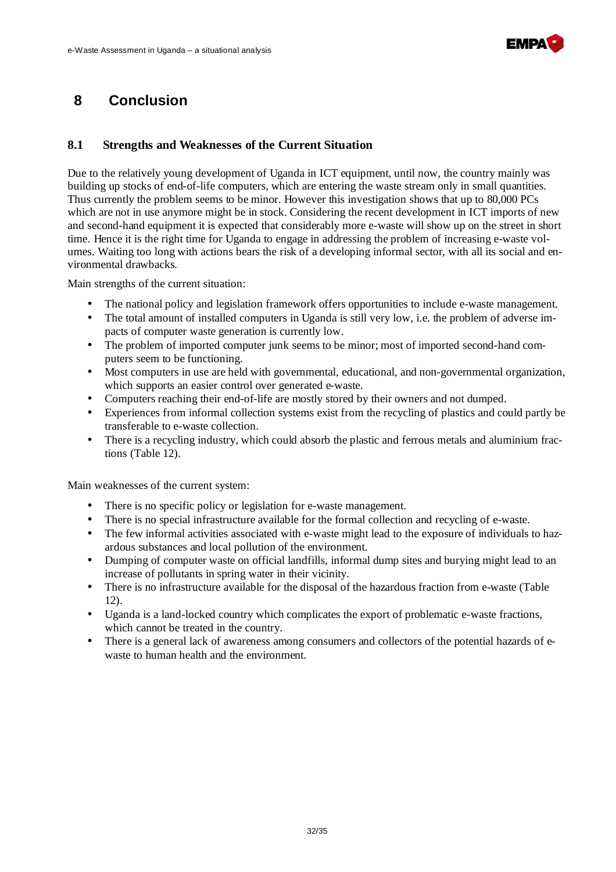

# **8 Conclusion**

#### **8.1 Strengths and Weaknesses of the Current Situation**

Due to the relatively young development of Uganda in ICT equipment, until now, the country mainly was building up stocks of end-of-life computers, which are entering the waste stream only in small quantities. Thus currently the problem seems to be minor. However this investigation shows that up to 80,000 PCs which are not in use anymore might be in stock. Considering the recent development in ICT imports of new and second-hand equipment it is expected that considerably more e-waste will show up on the street in short time. Hence it is the right time for Uganda to engage in addressing the problem of increasing e-waste volumes. Waiting too long with actions bears the risk of a developing informal sector, with all its social and environmental drawbacks.

Main strengths of the current situation:

- The national policy and legislation framework offers opportunities to include e-waste management.
- The total amount of installed computers in Uganda is still very low, i.e. the problem of adverse impacts of computer waste generation is currently low.
- The problem of imported computer junk seems to be minor; most of imported second-hand computers seem to be functioning.
- Most computers in use are held with governmental, educational, and non-governmental organization, which supports an easier control over generated e-waste.
- Computers reaching their end-of-life are mostly stored by their owners and not dumped.
- Experiences from informal collection systems exist from the recycling of plastics and could partly be transferable to e-waste collection.
- There is a recycling industry, which could absorb the plastic and ferrous metals and aluminium fractions (Table 12).

Main weaknesses of the current system:

- There is no specific policy or legislation for e-waste management.
- There is no special infrastructure available for the formal collection and recycling of e-waste.
- The few informal activities associated with e-waste might lead to the exposure of individuals to hazardous substances and local pollution of the environment.
- Dumping of computer waste on official landfills, informal dump sites and burying might lead to an increase of pollutants in spring water in their vicinity.
- There is no infrastructure available for the disposal of the hazardous fraction from e-waste (Table 12).
- Uganda is a land-locked country which complicates the export of problematic e-waste fractions, which cannot be treated in the country.
- There is a general lack of awareness among consumers and collectors of the potential hazards of ewaste to human health and the environment.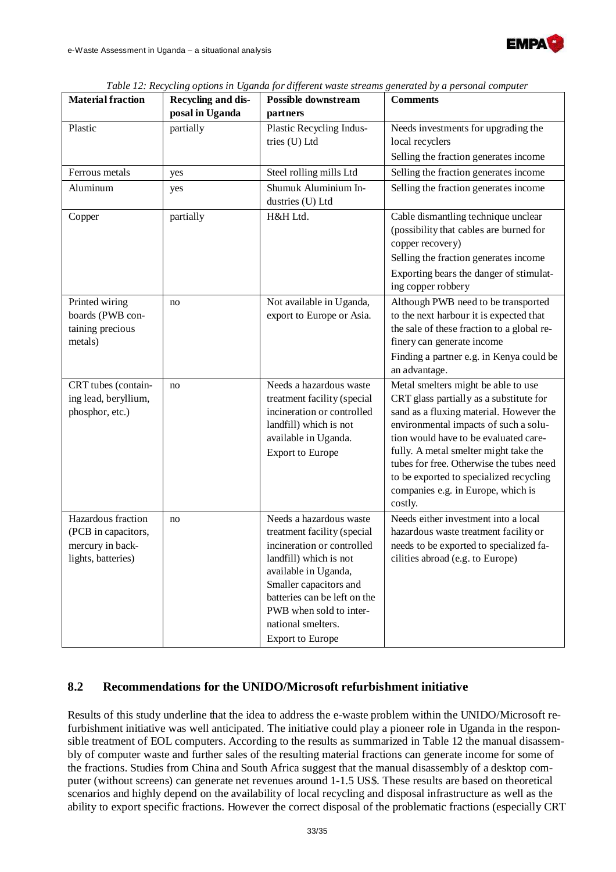

| <b>Material fraction</b>                                                            | Recycling and dis-<br>posal in Uganda | <b>Possible downstream</b><br>partners                                                                                                                                                                                                                                       | <b>Comments</b>                                                                                                                                                                                                                                                                                                                                                                              |
|-------------------------------------------------------------------------------------|---------------------------------------|------------------------------------------------------------------------------------------------------------------------------------------------------------------------------------------------------------------------------------------------------------------------------|----------------------------------------------------------------------------------------------------------------------------------------------------------------------------------------------------------------------------------------------------------------------------------------------------------------------------------------------------------------------------------------------|
| Plastic                                                                             | partially                             | Plastic Recycling Indus-<br>tries (U) Ltd                                                                                                                                                                                                                                    | Needs investments for upgrading the<br>local recyclers<br>Selling the fraction generates income                                                                                                                                                                                                                                                                                              |
| Ferrous metals                                                                      | yes                                   | Steel rolling mills Ltd                                                                                                                                                                                                                                                      | Selling the fraction generates income                                                                                                                                                                                                                                                                                                                                                        |
| Aluminum                                                                            | yes                                   | Shumuk Aluminium In-<br>dustries (U) Ltd                                                                                                                                                                                                                                     | Selling the fraction generates income                                                                                                                                                                                                                                                                                                                                                        |
| Copper                                                                              | partially                             | H&H Ltd.                                                                                                                                                                                                                                                                     | Cable dismantling technique unclear<br>(possibility that cables are burned for<br>copper recovery)<br>Selling the fraction generates income<br>Exporting bears the danger of stimulat-<br>ing copper robbery                                                                                                                                                                                 |
| Printed wiring<br>boards (PWB con-<br>taining precious<br>metals)                   | no                                    | Not available in Uganda,<br>export to Europe or Asia.                                                                                                                                                                                                                        | Although PWB need to be transported<br>to the next harbour it is expected that<br>the sale of these fraction to a global re-<br>finery can generate income<br>Finding a partner e.g. in Kenya could be<br>an advantage.                                                                                                                                                                      |
| CRT tubes (contain-<br>ing lead, beryllium,<br>phosphor, etc.)                      | no                                    | Needs a hazardous waste<br>treatment facility (special<br>incineration or controlled<br>landfill) which is not<br>available in Uganda.<br><b>Export to Europe</b>                                                                                                            | Metal smelters might be able to use<br>CRT glass partially as a substitute for<br>sand as a fluxing material. However the<br>environmental impacts of such a solu-<br>tion would have to be evaluated care-<br>fully. A metal smelter might take the<br>tubes for free. Otherwise the tubes need<br>to be exported to specialized recycling<br>companies e.g. in Europe, which is<br>costly. |
| Hazardous fraction<br>(PCB in capacitors,<br>mercury in back-<br>lights, batteries) | no                                    | Needs a hazardous waste<br>treatment facility (special<br>incineration or controlled<br>landfill) which is not<br>available in Uganda,<br>Smaller capacitors and<br>batteries can be left on the<br>PWB when sold to inter-<br>national smelters.<br><b>Export to Europe</b> | Needs either investment into a local<br>hazardous waste treatment facility or<br>needs to be exported to specialized fa-<br>cilities abroad (e.g. to Europe)                                                                                                                                                                                                                                 |

*Table 12: Recycling options in Uganda for different waste streams generated by a personal computer* 

#### **8.2 Recommendations for the UNIDO/Microsoft refurbishment initiative**

Results of this study underline that the idea to address the e-waste problem within the UNIDO/Microsoft refurbishment initiative was well anticipated. The initiative could play a pioneer role in Uganda in the responsible treatment of EOL computers. According to the results as summarized in Table 12 the manual disassembly of computer waste and further sales of the resulting material fractions can generate income for some of the fractions. Studies from China and South Africa suggest that the manual disassembly of a desktop computer (without screens) can generate net revenues around 1-1.5 US\$. These results are based on theoretical scenarios and highly depend on the availability of local recycling and disposal infrastructure as well as the ability to export specific fractions. However the correct disposal of the problematic fractions (especially CRT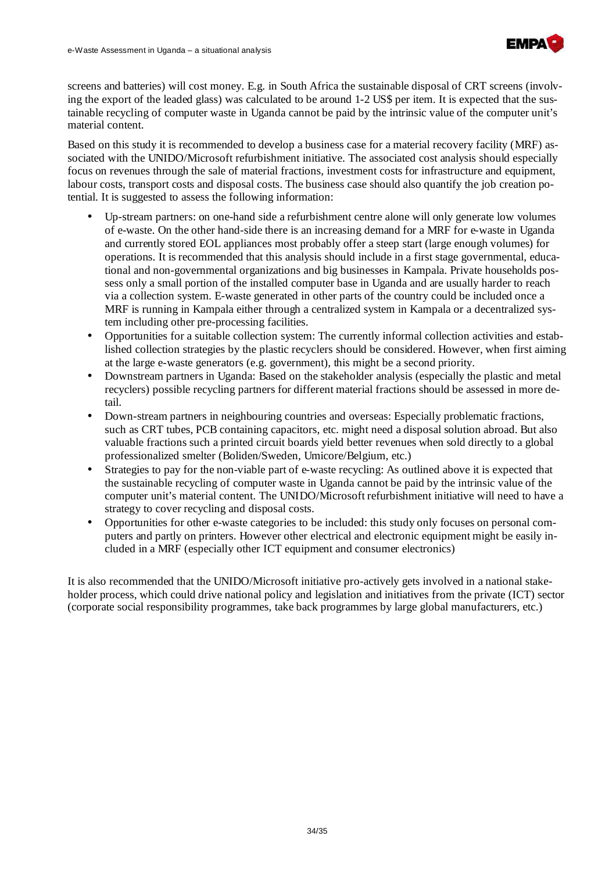

screens and batteries) will cost money. E.g. in South Africa the sustainable disposal of CRT screens (involving the export of the leaded glass) was calculated to be around 1-2 US\$ per item. It is expected that the sustainable recycling of computer waste in Uganda cannot be paid by the intrinsic value of the computer unit's material content.

Based on this study it is recommended to develop a business case for a material recovery facility (MRF) associated with the UNIDO/Microsoft refurbishment initiative. The associated cost analysis should especially focus on revenues through the sale of material fractions, investment costs for infrastructure and equipment, labour costs, transport costs and disposal costs. The business case should also quantify the job creation potential. It is suggested to assess the following information:

- Up-stream partners: on one-hand side a refurbishment centre alone will only generate low volumes of e-waste. On the other hand-side there is an increasing demand for a MRF for e-waste in Uganda and currently stored EOL appliances most probably offer a steep start (large enough volumes) for operations. It is recommended that this analysis should include in a first stage governmental, educational and non-governmental organizations and big businesses in Kampala. Private households possess only a small portion of the installed computer base in Uganda and are usually harder to reach via a collection system. E-waste generated in other parts of the country could be included once a MRF is running in Kampala either through a centralized system in Kampala or a decentralized system including other pre-processing facilities.
- Opportunities for a suitable collection system: The currently informal collection activities and established collection strategies by the plastic recyclers should be considered. However, when first aiming at the large e-waste generators (e.g. government), this might be a second priority.
- Downstream partners in Uganda: Based on the stakeholder analysis (especially the plastic and metal recyclers) possible recycling partners for different material fractions should be assessed in more detail.
- Down-stream partners in neighbouring countries and overseas: Especially problematic fractions, such as CRT tubes, PCB containing capacitors, etc. might need a disposal solution abroad. But also valuable fractions such a printed circuit boards yield better revenues when sold directly to a global professionalized smelter (Boliden/Sweden, Umicore/Belgium, etc.)
- Strategies to pay for the non-viable part of e-waste recycling: As outlined above it is expected that the sustainable recycling of computer waste in Uganda cannot be paid by the intrinsic value of the computer unit's material content. The UNIDO/Microsoft refurbishment initiative will need to have a strategy to cover recycling and disposal costs.
- Opportunities for other e-waste categories to be included: this study only focuses on personal computers and partly on printers. However other electrical and electronic equipment might be easily included in a MRF (especially other ICT equipment and consumer electronics)

It is also recommended that the UNIDO/Microsoft initiative pro-actively gets involved in a national stakeholder process, which could drive national policy and legislation and initiatives from the private (ICT) sector (corporate social responsibility programmes, take back programmes by large global manufacturers, etc.)